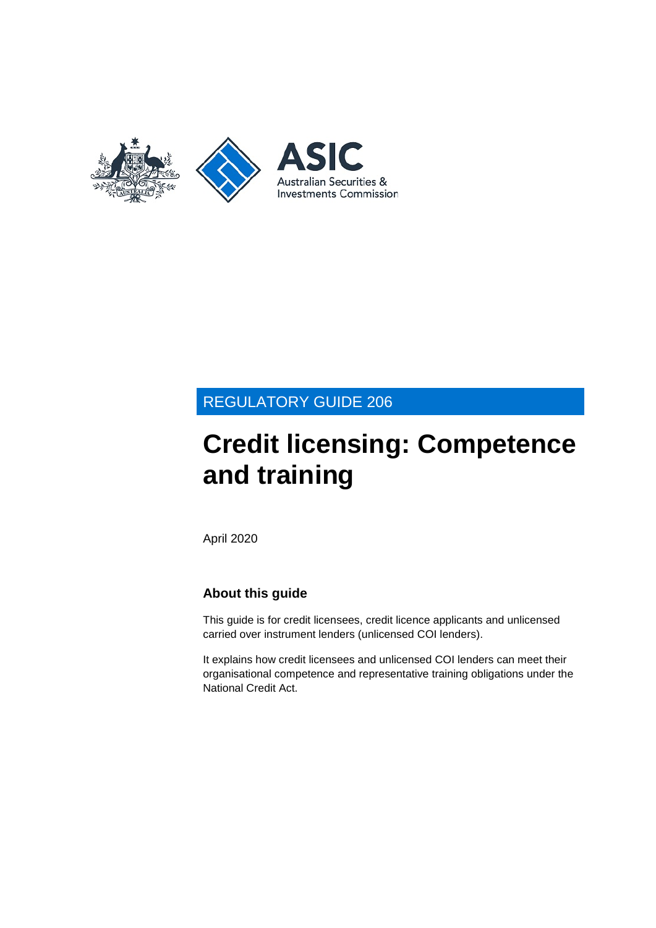

## REGULATORY GUIDE 206

# **Credit licensing: Competence and training**

April 2020

## **About this guide**

This guide is for credit licensees, credit licence applicants and unlicensed carried over instrument lenders (unlicensed COI lenders).

It explains how credit licensees and unlicensed COI lenders can meet their organisational competence and representative training obligations under the National Credit Act.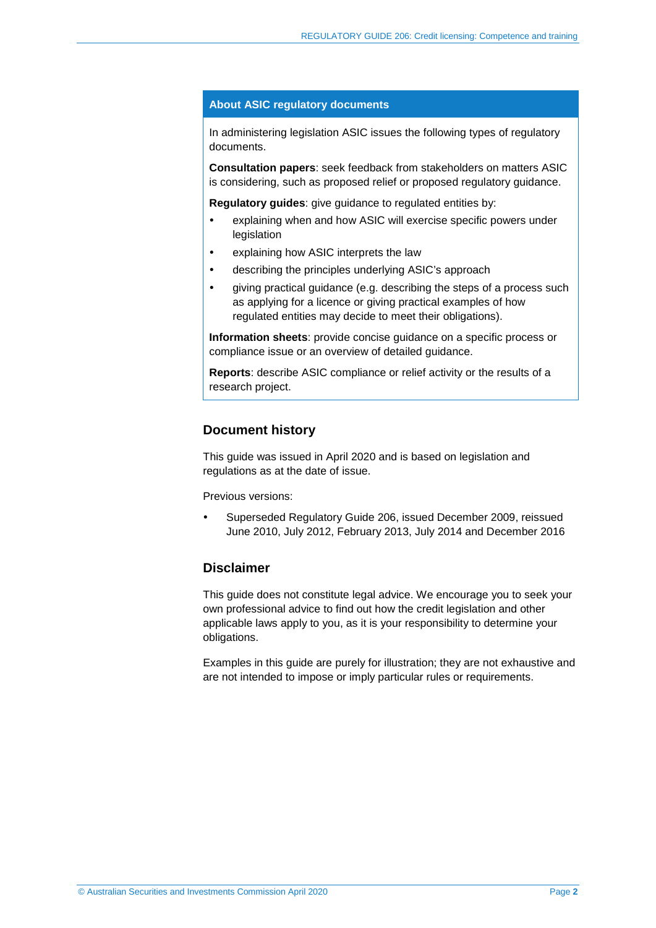#### **About ASIC regulatory documents**

In administering legislation ASIC issues the following types of regulatory documents.

**Consultation papers**: seek feedback from stakeholders on matters ASIC is considering, such as proposed relief or proposed regulatory guidance.

**Regulatory guides**: give guidance to regulated entities by:

- explaining when and how ASIC will exercise specific powers under legislation
- explaining how ASIC interprets the law
- describing the principles underlying ASIC's approach
- giving practical guidance (e.g. describing the steps of a process such as applying for a licence or giving practical examples of how regulated entities may decide to meet their obligations).

**Information sheets**: provide concise guidance on a specific process or compliance issue or an overview of detailed guidance.

**Reports**: describe ASIC compliance or relief activity or the results of a research project.

#### **Document history**

This guide was issued in April 2020 and is based on legislation and regulations as at the date of issue.

Previous versions:

 Superseded Regulatory Guide 206, issued December 2009, reissued June 2010, July 2012, February 2013, July 2014 and December 2016

### **Disclaimer**

This guide does not constitute legal advice. We encourage you to seek your own professional advice to find out how the credit legislation and other applicable laws apply to you, as it is your responsibility to determine your obligations.

Examples in this guide are purely for illustration; they are not exhaustive and are not intended to impose or imply particular rules or requirements.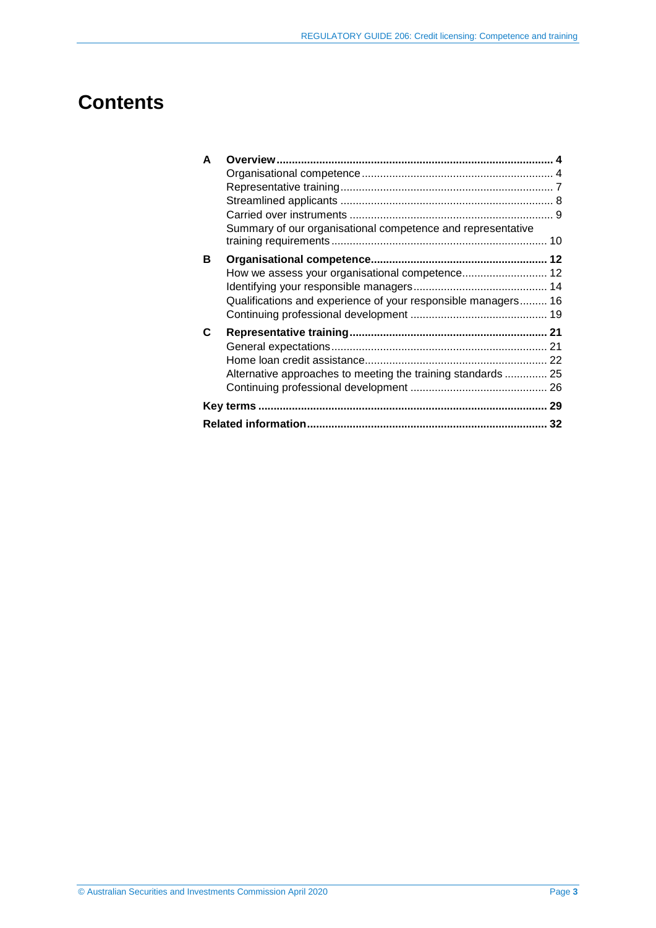# **Contents**

| A |                                                               |  |
|---|---------------------------------------------------------------|--|
|   |                                                               |  |
|   |                                                               |  |
|   |                                                               |  |
|   |                                                               |  |
|   | Summary of our organisational competence and representative   |  |
|   |                                                               |  |
| В |                                                               |  |
|   |                                                               |  |
|   |                                                               |  |
|   | Qualifications and experience of your responsible managers 16 |  |
|   |                                                               |  |
| C |                                                               |  |
|   |                                                               |  |
|   |                                                               |  |
|   | Alternative approaches to meeting the training standards  25  |  |
|   |                                                               |  |
|   |                                                               |  |
|   |                                                               |  |
|   |                                                               |  |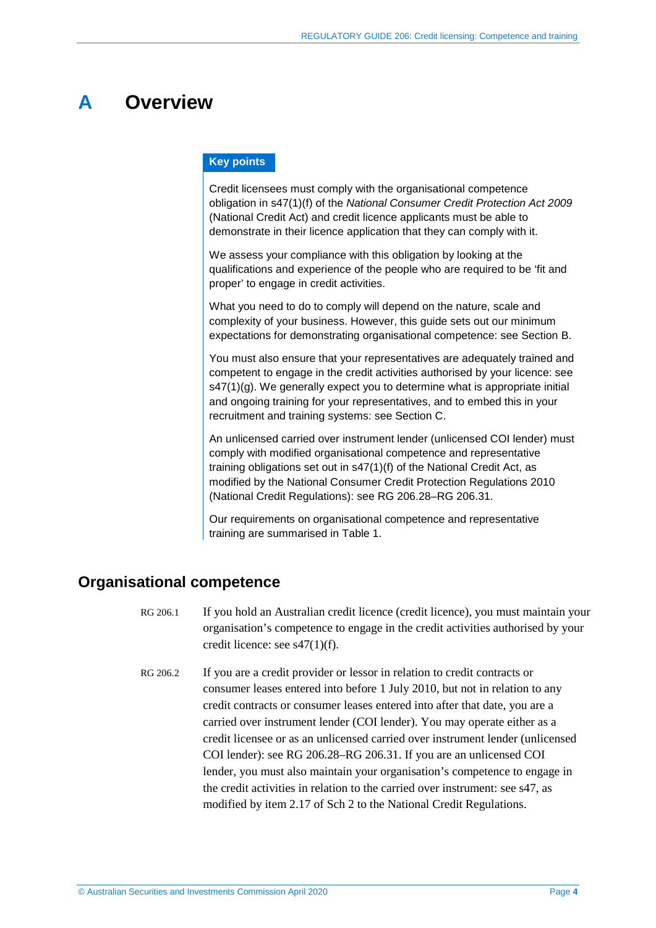## <span id="page-3-0"></span>**A Overview**

#### **Key points**

Credit licensees must comply with the organisational competence obligation in s47(1)(f) of the *National Consumer Credit Protection Act 2009*  (National Credit Act) and credit licence applicants must be able to demonstrate in their licence application that they can comply with it.

We assess your compliance with this obligation by looking at the qualifications and experience of the people who are required to be 'fit and proper' to engage in credit activities.

What you need to do to comply will depend on the nature, scale and complexity of your business. However, this guide sets out our minimum expectations for demonstrating organisational competence: see Section [B.](#page-11-0)

You must also ensure that your representatives are adequately trained and competent to engage in the credit activities authorised by your licence: see  $s47(1)(g)$ . We generally expect you to determine what is appropriate initial and ongoing training for your representatives, and to embed this in your recruitment and training systems: see Section [C.](#page-20-0)

An unlicensed carried over instrument lender (unlicensed COI lender) must comply with modified organisational competence and representative training obligations set out in s47(1)(f) of the National Credit Act, as modified by the National Consumer Credit Protection Regulations 2010 (National Credit Regulations): see RG [206.28–](#page-8-1)RG [206.31.](#page-9-1)

Our requirements on organisational competence and representative training are summarised in [Table 1.](#page-9-2)

## <span id="page-3-1"></span>**Organisational competence**

- RG 206.1 If you hold an Australian credit licence (credit licence), you must maintain your organisation's competence to engage in the credit activities authorised by your credit licence: see s47(1)(f).
- RG 206.2 If you are a credit provider or lessor in relation to credit contracts or consumer leases entered into before 1 July 2010, but not in relation to any credit contracts or consumer leases entered into after that date, you are a carried over instrument lender (COI lender). You may operate either as a credit licensee or as an unlicensed carried over instrument lender (unlicensed COI lender): see RG [206.28–](#page-8-1)RG [206.31.](#page-9-1) If you are an unlicensed COI lender, you must also maintain your organisation's competence to engage in the credit activities in relation to the carried over instrument: see s47, as modified by item 2.17 of Sch 2 to the National Credit Regulations.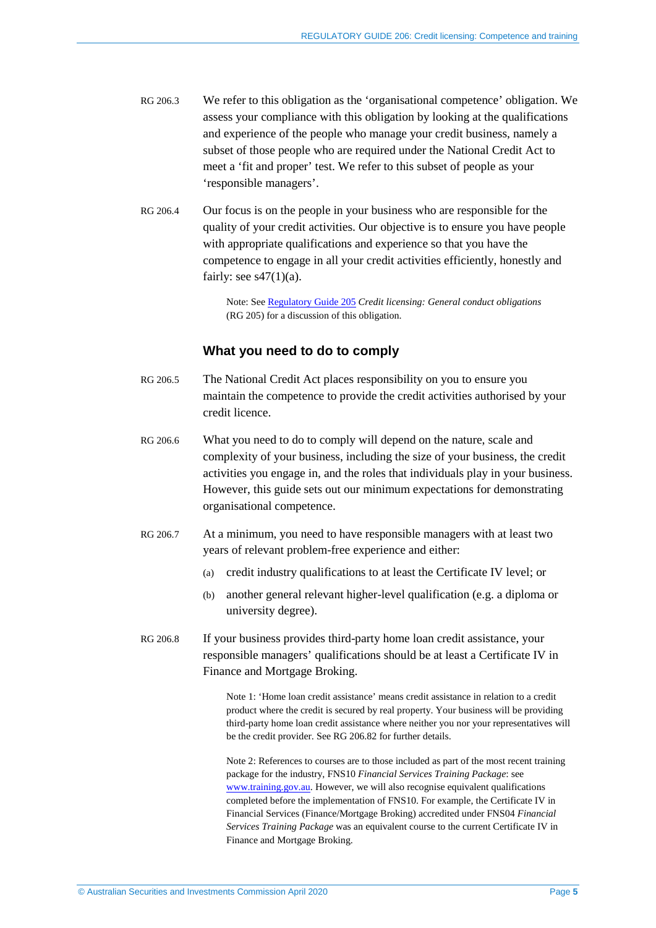- RG 206.3 We refer to this obligation as the 'organisational competence' obligation. We assess your compliance with this obligation by looking at the qualifications and experience of the people who manage your credit business, namely a subset of those people who are required under the National Credit Act to meet a 'fit and proper' test. We refer to this subset of people as your 'responsible managers'.
- RG 206.4 Our focus is on the people in your business who are responsible for the quality of your credit activities. Our objective is to ensure you have people with appropriate qualifications and experience so that you have the competence to engage in all your credit activities efficiently, honestly and fairly: see  $s47(1)(a)$ .

Note: See [Regulatory Guide](http://asic.gov.au/regulatory-resources/credit/credit-general-conduct-obligations/rg-205-credit-licensing-general-conduct-obligations/) 205 *Credit licensing: General conduct obligations* (RG 205) for a discussion of this obligation.

#### **What you need to do to comply**

- RG 206.5 The National Credit Act places responsibility on you to ensure you maintain the competence to provide the credit activities authorised by your credit licence.
- RG 206.6 What you need to do to comply will depend on the nature, scale and complexity of your business, including the size of your business, the credit activities you engage in, and the roles that individuals play in your business. However, this guide sets out our minimum expectations for demonstrating organisational competence.
- RG 206.7 At a minimum, you need to have responsible managers with at least two years of relevant problem-free experience and either:
	- (a) credit industry qualifications to at least the Certificate IV level; or
	- (b) another general relevant higher-level qualification (e.g. a diploma or university degree).
- RG 206.8 If your business provides third-party home loan credit assistance, your responsible managers' qualifications should be at least a Certificate IV in Finance and Mortgage Broking.

Note 1: 'Home loan credit assistance' means credit assistance in relation to a credit product where the credit is secured by real property. Your business will be providing third-party home loan credit assistance where neither you nor your representatives will be the credit provider. See RG [206.82](#page-21-1) for further details.

Note 2: References to courses are to those included as part of the most recent training package for the industry, FNS10 *Financial Services Training Package*: see [www.training.gov.au.](http://www.training.gov.au/) However, we will also recognise equivalent qualifications completed before the implementation of FNS10. For example, the Certificate IV in Financial Services (Finance/Mortgage Broking) accredited under FNS04 *Financial Services Training Package* was an equivalent course to the current Certificate IV in Finance and Mortgage Broking.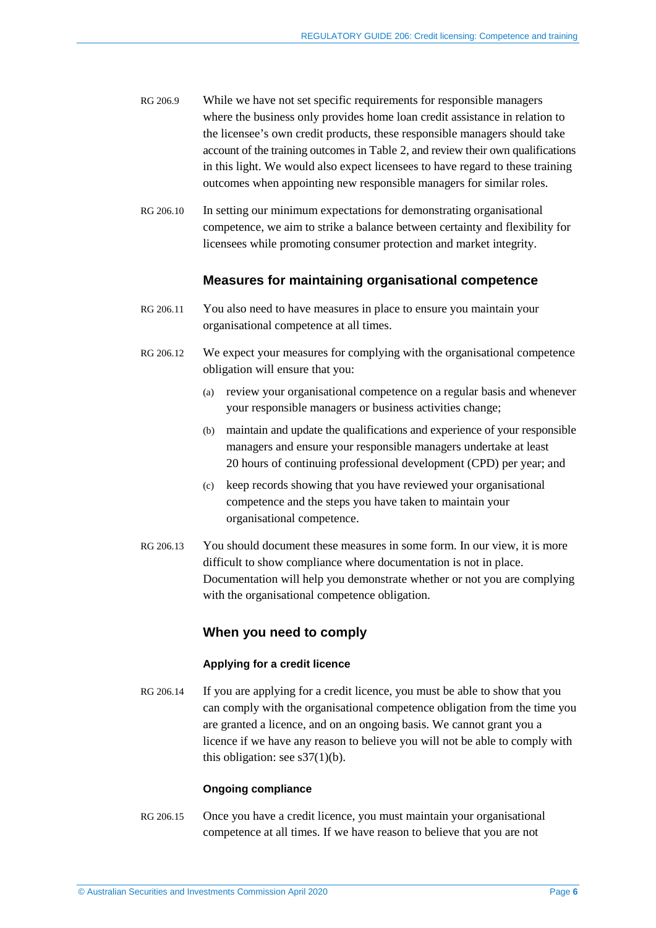- RG 206.9 While we have not set specific requirements for responsible managers where the business only provides home loan credit assistance in relation to the licensee's own credit products, these responsible managers should take account of the training outcomes in [Table 2,](#page-23-0) and review their own qualifications in this light. We would also expect licensees to have regard to these training outcomes when appointing new responsible managers for similar roles.
- RG 206.10 In setting our minimum expectations for demonstrating organisational competence, we aim to strike a balance between certainty and flexibility for licensees while promoting consumer protection and market integrity.

### **Measures for maintaining organisational competence**

- RG 206.11 You also need to have measures in place to ensure you maintain your organisational competence at all times.
- RG 206.12 We expect your measures for complying with the organisational competence obligation will ensure that you:
	- (a) review your organisational competence on a regular basis and whenever your responsible managers or business activities change;
	- (b) maintain and update the qualifications and experience of your responsible managers and ensure your responsible managers undertake at least 20 hours of continuing professional development (CPD) per year; and
	- (c) keep records showing that you have reviewed your organisational competence and the steps you have taken to maintain your organisational competence.
- RG 206.13 You should document these measures in some form. In our view, it is more difficult to show compliance where documentation is not in place. Documentation will help you demonstrate whether or not you are complying with the organisational competence obligation.

### **When you need to comply**

#### **Applying for a credit licence**

RG 206.14 If you are applying for a credit licence, you must be able to show that you can comply with the organisational competence obligation from the time you are granted a licence, and on an ongoing basis. We cannot grant you a licence if we have any reason to believe you will not be able to comply with this obligation: see  $s37(1)(b)$ .

#### **Ongoing compliance**

RG 206.15 Once you have a credit licence, you must maintain your organisational competence at all times. If we have reason to believe that you are not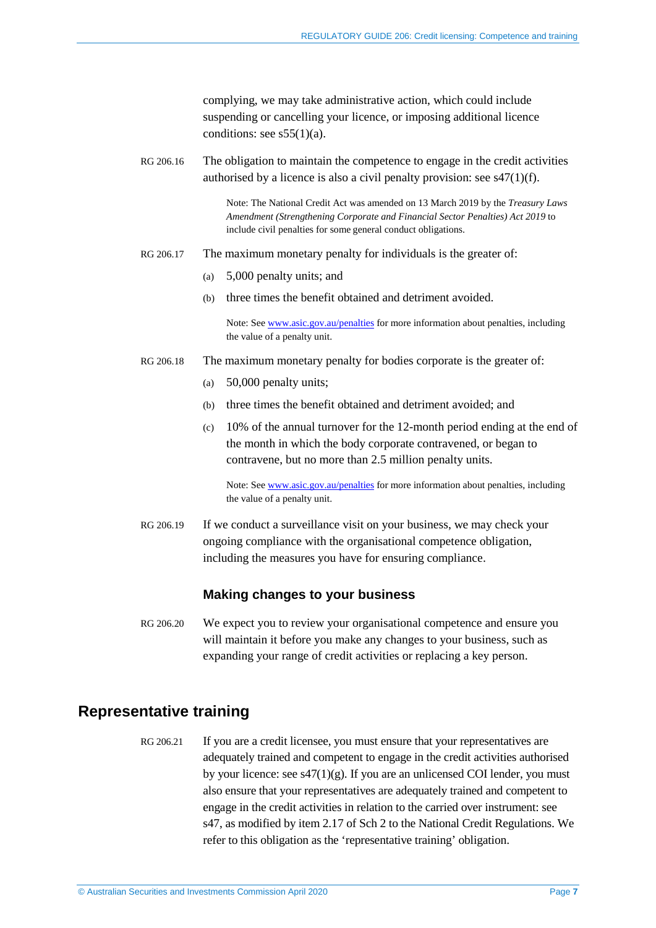complying, we may take administrative action, which could include suspending or cancelling your licence, or imposing additional licence conditions: see  $s55(1)(a)$ .

RG 206.16 The obligation to maintain the competence to engage in the credit activities authorised by a licence is also a civil penalty provision: see s47(1)(f).

> Note: The National Credit Act was amended on 13 March 2019 by the *Treasury Laws Amendment (Strengthening Corporate and Financial Sector Penalties) Act 2019* to include civil penalties for some general conduct obligations.

- RG 206.17 The maximum monetary penalty for individuals is the greater of:
	- (a) 5,000 penalty units; and
	- (b) three times the benefit obtained and detriment avoided.

Note: See [www.asic.gov.au/penalties](http://www.asic.gov.au/penalties) for more information about penalties, including the value of a penalty unit.

- RG 206.18 The maximum monetary penalty for bodies corporate is the greater of:
	- (a) 50,000 penalty units;
	- (b) three times the benefit obtained and detriment avoided; and
	- (c) 10% of the annual turnover for the 12-month period ending at the end of the month in which the body corporate contravened, or began to contravene, but no more than 2.5 million penalty units.

Note: See [www.asic.gov.au/penalties](http://www.asic.gov.au/penalties) for more information about penalties, including the value of a penalty unit.

RG 206.19 If we conduct a surveillance visit on your business, we may check your ongoing compliance with the organisational competence obligation, including the measures you have for ensuring compliance.

#### **Making changes to your business**

RG 206.20 We expect you to review your organisational competence and ensure you will maintain it before you make any changes to your business, such as expanding your range of credit activities or replacing a key person.

## <span id="page-6-0"></span>**Representative training**

RG 206.21 If you are a credit licensee, you must ensure that your representatives are adequately trained and competent to engage in the credit activities authorised by your licence: see  $s47(1)(g)$ . If you are an unlicensed COI lender, you must also ensure that your representatives are adequately trained and competent to engage in the credit activities in relation to the carried over instrument: see s47, as modified by item 2.17 of Sch 2 to the National Credit Regulations. We refer to this obligation as the 'representative training' obligation.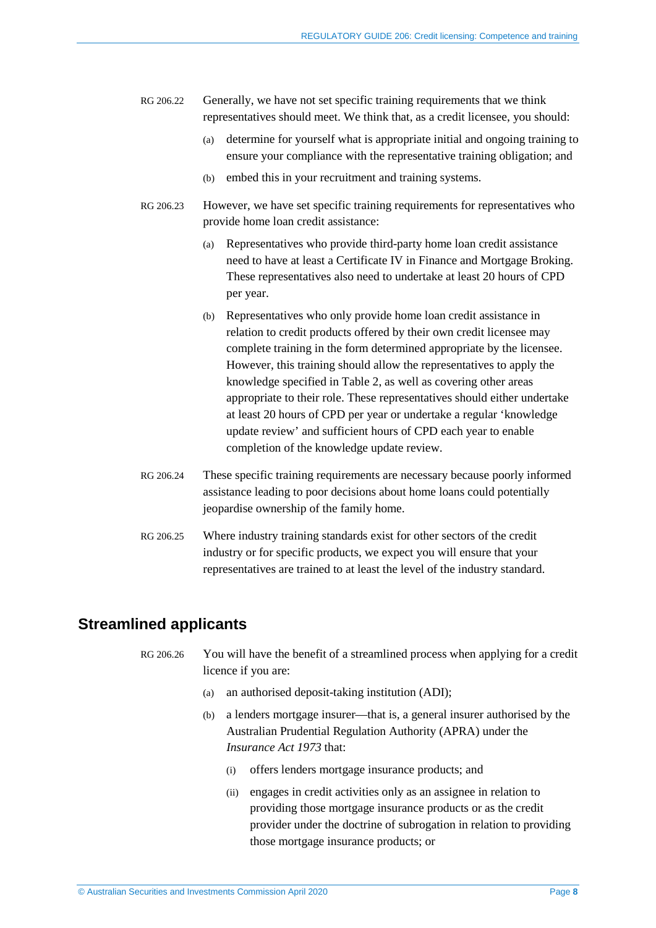- RG 206.22 Generally, we have not set specific training requirements that we think representatives should meet. We think that, as a credit licensee, you should:
	- (a) determine for yourself what is appropriate initial and ongoing training to ensure your compliance with the representative training obligation; and
	- (b) embed this in your recruitment and training systems.
- RG 206.23 However, we have set specific training requirements for representatives who provide home loan credit assistance:
	- (a) Representatives who provide third-party home loan credit assistance need to have at least a Certificate IV in Finance and Mortgage Broking. These representatives also need to undertake at least 20 hours of CPD per year.
	- (b) Representatives who only provide home loan credit assistance in relation to credit products offered by their own credit licensee may complete training in the form determined appropriate by the licensee. However, this training should allow the representatives to apply the knowledge specified in [Table 2,](#page-23-0) as well as covering other areas appropriate to their role. These representatives should either undertake at least 20 hours of CPD per year or undertake a regular 'knowledge update review' and sufficient hours of CPD each year to enable completion of the knowledge update review.
- RG 206.24 These specific training requirements are necessary because poorly informed assistance leading to poor decisions about home loans could potentially jeopardise ownership of the family home.
- RG 206.25 Where industry training standards exist for other sectors of the credit industry or for specific products, we expect you will ensure that your representatives are trained to at least the level of the industry standard.

## <span id="page-7-1"></span><span id="page-7-0"></span>**Streamlined applicants**

- RG 206.26 You will have the benefit of a streamlined process when applying for a credit licence if you are:
	- (a) an authorised deposit-taking institution (ADI);
	- (b) a lenders mortgage insurer—that is, a general insurer authorised by the Australian Prudential Regulation Authority (APRA) under the *Insurance Act 1973* that:
		- (i) offers lenders mortgage insurance products; and
		- (ii) engages in credit activities only as an assignee in relation to providing those mortgage insurance products or as the credit provider under the doctrine of subrogation in relation to providing those mortgage insurance products; or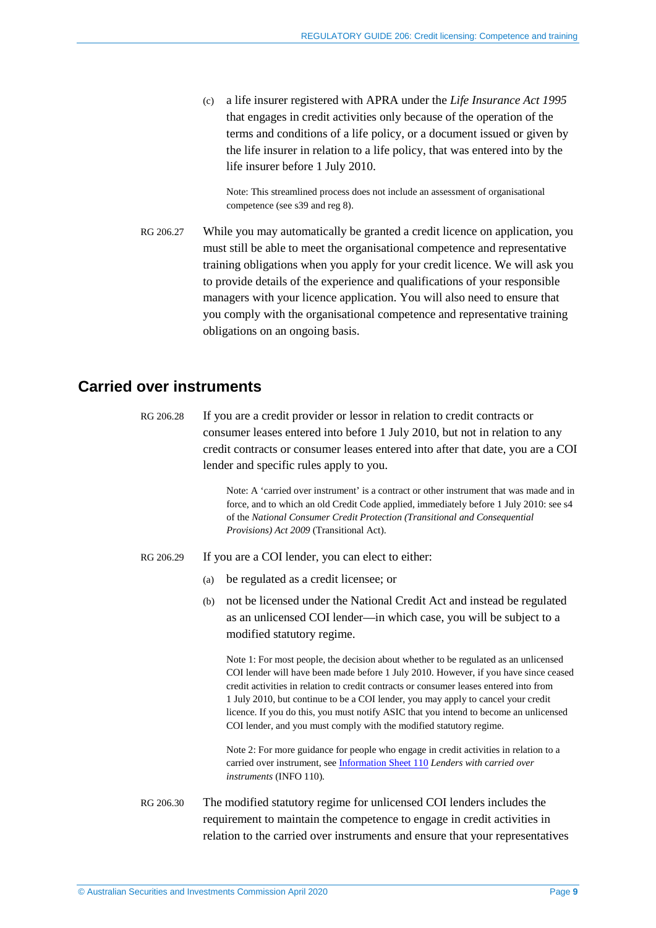(c) a life insurer registered with APRA under the *Life Insurance Act 1995* that engages in credit activities only because of the operation of the terms and conditions of a life policy, or a document issued or given by the life insurer in relation to a life policy, that was entered into by the life insurer before 1 July 2010.

Note: This streamlined process does not include an assessment of organisational competence (see s39 and reg 8).

RG 206.27 While you may automatically be granted a credit licence on application, you must still be able to meet the organisational competence and representative training obligations when you apply for your credit licence. We will ask you to provide details of the experience and qualifications of your responsible managers with your licence application. You will also need to ensure that you comply with the organisational competence and representative training obligations on an ongoing basis.

## <span id="page-8-1"></span><span id="page-8-0"></span>**Carried over instruments**

RG 206.28 If you are a credit provider or lessor in relation to credit contracts or consumer leases entered into before 1 July 2010, but not in relation to any credit contracts or consumer leases entered into after that date, you are a COI lender and specific rules apply to you.

> Note: A 'carried over instrument' is a contract or other instrument that was made and in force, and to which an old Credit Code applied, immediately before 1 July 2010: see s4 of the *National Consumer Credit Protection (Transitional and Consequential Provisions) Act 2009* (Transitional Act).

- RG 206.29 If you are a COI lender, you can elect to either:
	- (a) be regulated as a credit licensee; or
	- (b) not be licensed under the National Credit Act and instead be regulated as an unlicensed COI lender—in which case, you will be subject to a modified statutory regime.

Note 1: For most people, the decision about whether to be regulated as an unlicensed COI lender will have been made before 1 July 2010. However, if you have since ceased credit activities in relation to credit contracts or consumer leases entered into from 1 July 2010, but continue to be a COI lender, you may apply to cancel your credit licence. If you do this, you must notify ASIC that you intend to become an unlicensed COI lender, and you must comply with the modified statutory regime.

Note 2: For more guidance for people who engage in credit activities in relation to a carried over instrument, see [Information Sheet](http://asic.gov.au/for-finance-professionals/credit-licensees/your-ongoing-credit-licence-obligations/lenders-with-carried-over-instruments/) 110 *Lenders with* c*arried over instruments* (INFO 110)*.*

RG 206.30 The modified statutory regime for unlicensed COI lenders includes the requirement to maintain the competence to engage in credit activities in relation to the carried over instruments and ensure that your representatives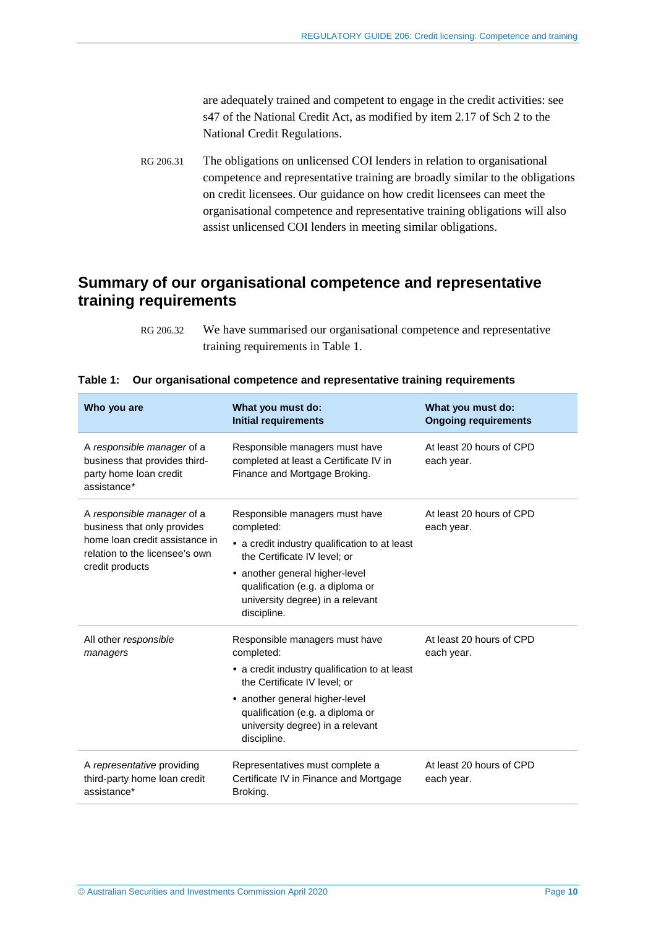are adequately trained and competent to engage in the credit activities: see s47 of the National Credit Act, as modified by item 2.17 of Sch 2 to the National Credit Regulations.

<span id="page-9-1"></span>RG 206.31 The obligations on unlicensed COI lenders in relation to organisational competence and representative training are broadly similar to the obligations on credit licensees. Our guidance on how credit licensees can meet the organisational competence and representative training obligations will also assist unlicensed COI lenders in meeting similar obligations.

## <span id="page-9-0"></span>**Summary of our organisational competence and representative training requirements**

RG 206.32 We have summarised our organisational competence and representative training requirements in [Table 1.](#page-9-2)

| Who you are                                                                                                                                      | What you must do:<br><b>Initial requirements</b>                                                                                                                                                                                                       | What you must do:<br><b>Ongoing requirements</b> |
|--------------------------------------------------------------------------------------------------------------------------------------------------|--------------------------------------------------------------------------------------------------------------------------------------------------------------------------------------------------------------------------------------------------------|--------------------------------------------------|
| A responsible manager of a<br>business that provides third-<br>party home loan credit<br>assistance*                                             | Responsible managers must have<br>completed at least a Certificate IV in<br>Finance and Mortgage Broking.                                                                                                                                              | At least 20 hours of CPD<br>each year.           |
| A responsible manager of a<br>business that only provides<br>home loan credit assistance in<br>relation to the licensee's own<br>credit products | Responsible managers must have<br>completed:<br>• a credit industry qualification to at least<br>the Certificate IV level; or<br>another general higher-level<br>qualification (e.g. a diploma or<br>university degree) in a relevant<br>discipline.   | At least 20 hours of CPD<br>each year.           |
| All other responsible<br>managers                                                                                                                | Responsible managers must have<br>completed:<br>• a credit industry qualification to at least<br>the Certificate IV level: or<br>• another general higher-level<br>qualification (e.g. a diploma or<br>university degree) in a relevant<br>discipline. | At least 20 hours of CPD<br>each year.           |
| A representative providing<br>third-party home loan credit<br>assistance*                                                                        | Representatives must complete a<br>Certificate IV in Finance and Mortgage<br>Broking.                                                                                                                                                                  | At least 20 hours of CPD<br>each year.           |

<span id="page-9-2"></span>

|  |  |  |  | Table 1: Our organisational competence and representative training requirements |
|--|--|--|--|---------------------------------------------------------------------------------|
|--|--|--|--|---------------------------------------------------------------------------------|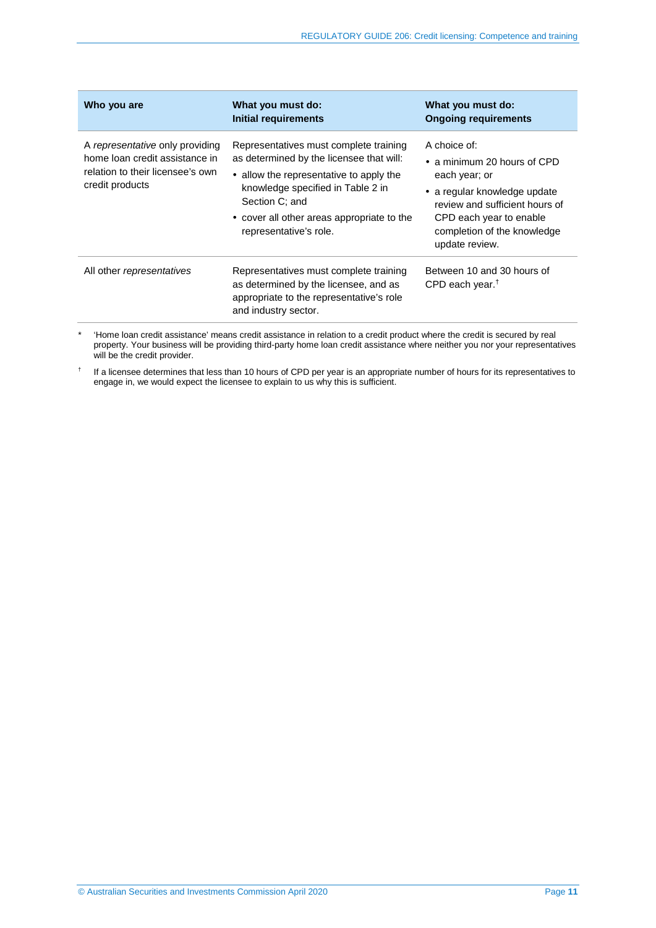| Who you are                                                                                                              | What you must do:<br><b>Initial requirements</b>                                                                                                                                                                                                             | What you must do:<br><b>Ongoing requirements</b>                                                                                                                                                                   |
|--------------------------------------------------------------------------------------------------------------------------|--------------------------------------------------------------------------------------------------------------------------------------------------------------------------------------------------------------------------------------------------------------|--------------------------------------------------------------------------------------------------------------------------------------------------------------------------------------------------------------------|
| A representative only providing<br>home loan credit assistance in<br>relation to their licensee's own<br>credit products | Representatives must complete training<br>as determined by the licensee that will:<br>• allow the representative to apply the<br>knowledge specified in Table 2 in<br>Section C: and<br>• cover all other areas appropriate to the<br>representative's role. | A choice of:<br>$\bullet$ a minimum 20 hours of CPD<br>each year; or<br>• a regular knowledge update<br>review and sufficient hours of<br>CPD each year to enable<br>completion of the knowledge<br>update review. |
| All other representatives                                                                                                | Representatives must complete training<br>as determined by the licensee, and as<br>appropriate to the representative's role<br>and industry sector.                                                                                                          | Between 10 and 30 hours of<br>CPD each year. <sup>†</sup>                                                                                                                                                          |

\* 'Home loan credit assistance' means credit assistance in relation to a credit product where the credit is secured by real property. Your business will be providing third-party home loan credit assistance where neither you nor your representatives will be the credit provider.

† If a licensee determines that less than 10 hours of CPD per year is an appropriate number of hours for its representatives to engage in, we would expect the licensee to explain to us why this is sufficient.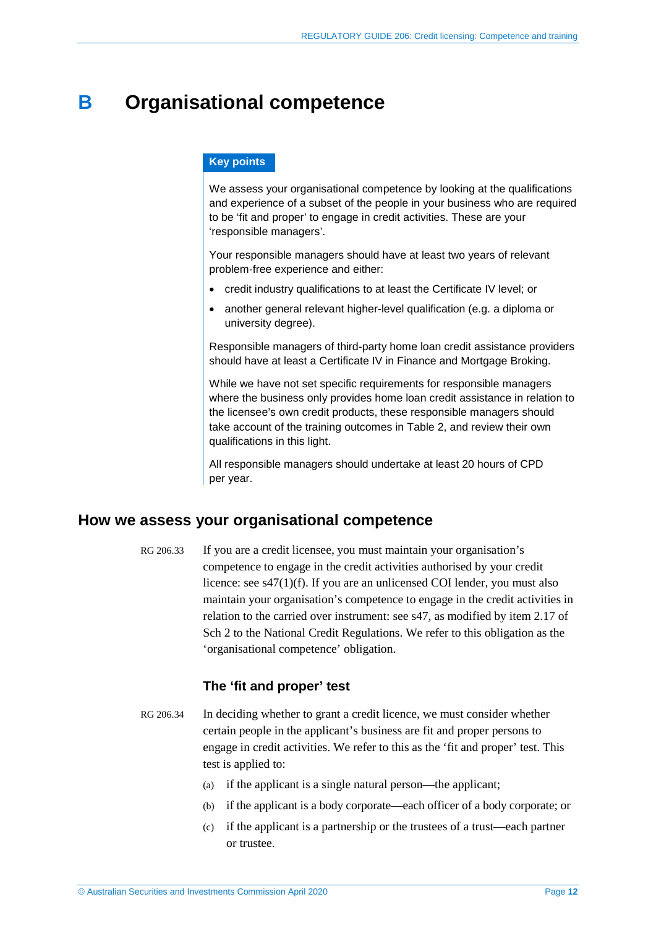## <span id="page-11-0"></span>**B Organisational competence**

#### **Key points**

We assess your organisational competence by looking at the qualifications and experience of a subset of the people in your business who are required to be 'fit and proper' to engage in credit activities. These are your 'responsible managers'.

Your responsible managers should have at least two years of relevant problem-free experience and either:

- credit industry qualifications to at least the Certificate IV level; or
- another general relevant higher-level qualification (e.g. a diploma or university degree).

Responsible managers of third-party home loan credit assistance providers should have at least a Certificate IV in Finance and Mortgage Broking.

While we have not set specific requirements for responsible managers where the business only provides home loan credit assistance in relation to the licensee's own credit products, these responsible managers should take account of the training outcomes in [Table 2,](#page-23-0) and review their own qualifications in this light.

All responsible managers should undertake at least 20 hours of CPD per year.

## <span id="page-11-1"></span>**How we assess your organisational competence**

RG 206.33 If you are a credit licensee, you must maintain your organisation's competence to engage in the credit activities authorised by your credit licence: see s47(1)(f). If you are an unlicensed COI lender, you must also maintain your organisation's competence to engage in the credit activities in relation to the carried over instrument: see s47, as modified by item 2.17 of Sch 2 to the National Credit Regulations. We refer to this obligation as the 'organisational competence' obligation.

## **The 'fit and proper' test**

- <span id="page-11-2"></span>RG 206.34 In deciding whether to grant a credit licence, we must consider whether certain people in the applicant's business are fit and proper persons to engage in credit activities. We refer to this as the 'fit and proper' test. This test is applied to:
	- (a) if the applicant is a single natural person—the applicant;
	- (b) if the applicant is a body corporate—each officer of a body corporate; or
	- (c) if the applicant is a partnership or the trustees of a trust—each partner or trustee.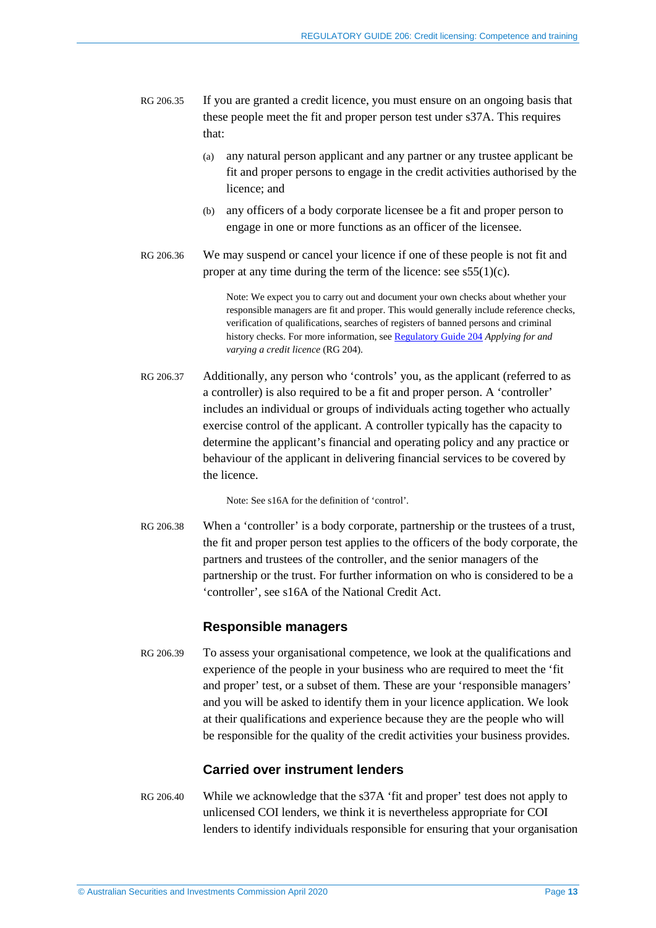- RG 206.35 If you are granted a credit licence, you must ensure on an ongoing basis that these people meet the fit and proper person test under s37A. This requires that:
	- (a) any natural person applicant and any partner or any trustee applicant be fit and proper persons to engage in the credit activities authorised by the licence; and
	- (b) any officers of a body corporate licensee be a fit and proper person to engage in one or more functions as an officer of the licensee.
- RG 206.36 We may suspend or cancel your licence if one of these people is not fit and proper at any time during the term of the licence: see  $s55(1)(c)$ .

Note: We expect you to carry out and document your own checks about whether your responsible managers are fit and proper. This would generally include reference checks, verification of qualifications, searches of registers of banned persons and criminal history checks. For more information, see [Regulatory Guide 204](http://asic.gov.au/regulatory-resources/find-a-document/regulatory-guides/rg-204-applying-for-and-varying-a-credit-licence/) *Applying for and varying a credit licence* (RG 204).

RG 206.37 Additionally, any person who 'controls' you, as the applicant (referred to as a controller) is also required to be a fit and proper person. A 'controller' includes an individual or groups of individuals acting together who actually exercise control of the applicant. A controller typically has the capacity to determine the applicant's financial and operating policy and any practice or behaviour of the applicant in delivering financial services to be covered by the licence.

Note: See s16A for the definition of 'control'.

RG 206.38 When a 'controller' is a body corporate, partnership or the trustees of a trust, the fit and proper person test applies to the officers of the body corporate, the partners and trustees of the controller, and the senior managers of the partnership or the trust. For further information on who is considered to be a 'controller', see s16A of the National Credit Act.

## **Responsible managers**

RG 206.39 To assess your organisational competence, we look at the qualifications and experience of the people in your business who are required to meet the 'fit and proper' test, or a subset of them. These are your 'responsible managers' and you will be asked to identify them in your licence application. We look at their qualifications and experience because they are the people who will be responsible for the quality of the credit activities your business provides.

## **Carried over instrument lenders**

RG 206.40 While we acknowledge that the s37A 'fit and proper' test does not apply to unlicensed COI lenders, we think it is nevertheless appropriate for COI lenders to identify individuals responsible for ensuring that your organisation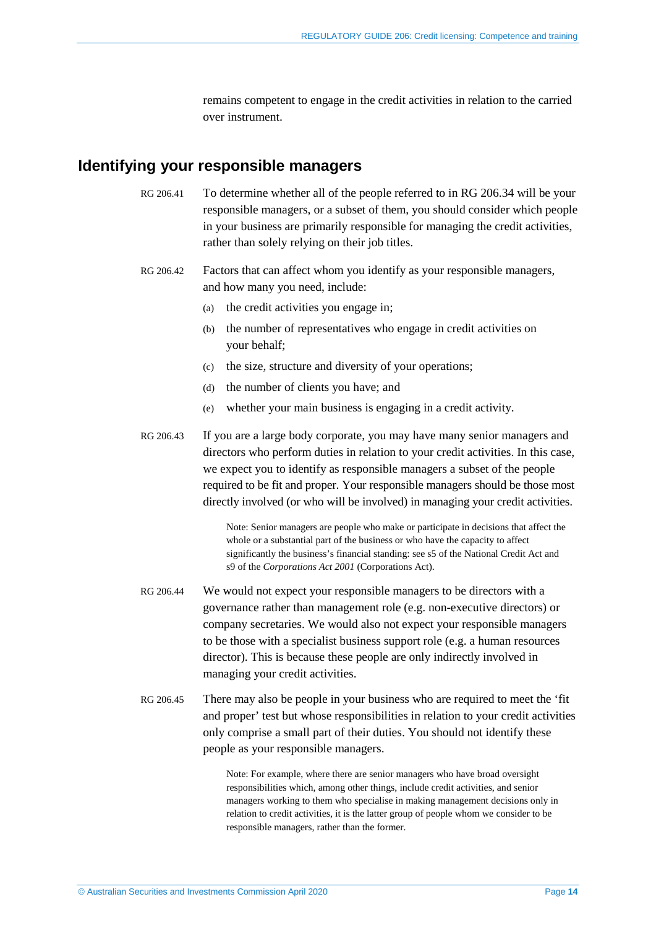remains competent to engage in the credit activities in relation to the carried over instrument.

## <span id="page-13-0"></span>**Identifying your responsible managers**

- RG 206.41 To determine whether all of the people referred to in RG [206.34](#page-11-2) will be your responsible managers, or a subset of them, you should consider which people in your business are primarily responsible for managing the credit activities, rather than solely relying on their job titles.
- RG 206.42 Factors that can affect whom you identify as your responsible managers, and how many you need, include:
	- (a) the credit activities you engage in;
	- (b) the number of representatives who engage in credit activities on your behalf;
	- (c) the size, structure and diversity of your operations;
	- (d) the number of clients you have; and
	- (e) whether your main business is engaging in a credit activity.
- RG 206.43 If you are a large body corporate, you may have many senior managers and directors who perform duties in relation to your credit activities. In this case, we expect you to identify as responsible managers a subset of the people required to be fit and proper. Your responsible managers should be those most directly involved (or who will be involved) in managing your credit activities.

Note: Senior managers are people who make or participate in decisions that affect the whole or a substantial part of the business or who have the capacity to affect significantly the business's financial standing: see s5 of the National Credit Act and s9 of the *Corporations Act 2001* (Corporations Act).

- RG 206.44 We would not expect your responsible managers to be directors with a governance rather than management role (e.g. non-executive directors) or company secretaries. We would also not expect your responsible managers to be those with a specialist business support role (e.g. a human resources director). This is because these people are only indirectly involved in managing your credit activities.
- RG 206.45 There may also be people in your business who are required to meet the 'fit and proper' test but whose responsibilities in relation to your credit activities only comprise a small part of their duties. You should not identify these people as your responsible managers.

Note: For example, where there are senior managers who have broad oversight responsibilities which, among other things, include credit activities, and senior managers working to them who specialise in making management decisions only in relation to credit activities, it is the latter group of people whom we consider to be responsible managers, rather than the former.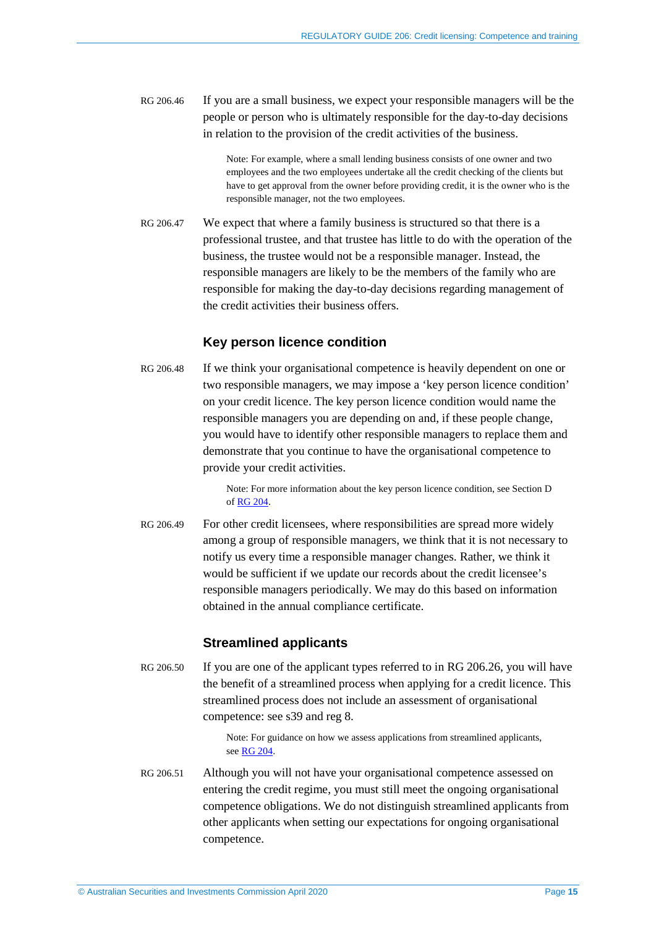RG 206.46 If you are a small business, we expect your responsible managers will be the people or person who is ultimately responsible for the day-to-day decisions in relation to the provision of the credit activities of the business.

> Note: For example, where a small lending business consists of one owner and two employees and the two employees undertake all the credit checking of the clients but have to get approval from the owner before providing credit, it is the owner who is the responsible manager, not the two employees.

RG 206.47 We expect that where a family business is structured so that there is a professional trustee, and that trustee has little to do with the operation of the business, the trustee would not be a responsible manager. Instead, the responsible managers are likely to be the members of the family who are responsible for making the day-to-day decisions regarding management of the credit activities their business offers.

#### **Key person licence condition**

RG 206.48 If we think your organisational competence is heavily dependent on one or two responsible managers, we may impose a 'key person licence condition' on your credit licence. The key person licence condition would name the responsible managers you are depending on and, if these people change, you would have to identify other responsible managers to replace them and demonstrate that you continue to have the organisational competence to provide your credit activities.

> Note: For more information about the key person licence condition, see Section D of [RG 204.](https://asic.gov.au/regulatory-resources/find-a-document/regulatory-guides/rg-204-applying-for-and-varying-a-credit-licence/)

RG 206.49 For other credit licensees, where responsibilities are spread more widely among a group of responsible managers, we think that it is not necessary to notify us every time a responsible manager changes. Rather, we think it would be sufficient if we update our records about the credit licensee's responsible managers periodically. We may do this based on information obtained in the annual compliance certificate.

#### **Streamlined applicants**

RG 206.50 If you are one of the applicant types referred to in RG [206.26,](#page-7-1) you will have the benefit of a streamlined process when applying for a credit licence. This streamlined process does not include an assessment of organisational competence: see s39 and reg 8.

> Note: For guidance on how we assess applications from streamlined applicants, see RG [204.](https://asic.gov.au/regulatory-resources/find-a-document/regulatory-guides/rg-204-applying-for-and-varying-a-credit-licence/)

RG 206.51 Although you will not have your organisational competence assessed on entering the credit regime, you must still meet the ongoing organisational competence obligations. We do not distinguish streamlined applicants from other applicants when setting our expectations for ongoing organisational competence.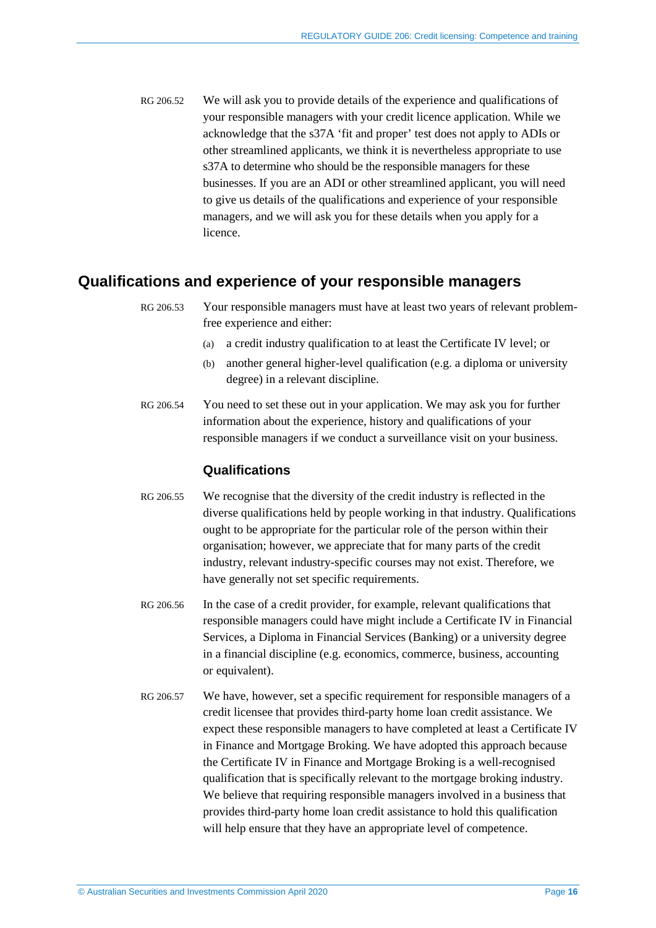RG 206.52 We will ask you to provide details of the experience and qualifications of your responsible managers with your credit licence application. While we acknowledge that the s37A 'fit and proper' test does not apply to ADIs or other streamlined applicants, we think it is nevertheless appropriate to use s37A to determine who should be the responsible managers for these businesses. If you are an ADI or other streamlined applicant, you will need to give us details of the qualifications and experience of your responsible managers, and we will ask you for these details when you apply for a licence.

## <span id="page-15-1"></span><span id="page-15-0"></span>**Qualifications and experience of your responsible managers**

RG 206.53 Your responsible managers must have at least two years of relevant problemfree experience and either:

- (a) a credit industry qualification to at least the Certificate IV level; or
- (b) another general higher-level qualification (e.g. a diploma or university degree) in a relevant discipline.
- RG 206.54 You need to set these out in your application. We may ask you for further information about the experience, history and qualifications of your responsible managers if we conduct a surveillance visit on your business.

#### **Qualifications**

- RG 206.55 We recognise that the diversity of the credit industry is reflected in the diverse qualifications held by people working in that industry. Qualifications ought to be appropriate for the particular role of the person within their organisation; however, we appreciate that for many parts of the credit industry, relevant industry-specific courses may not exist. Therefore, we have generally not set specific requirements.
- <span id="page-15-2"></span>RG 206.56 In the case of a credit provider, for example, relevant qualifications that responsible managers could have might include a Certificate IV in Financial Services, a Diploma in Financial Services (Banking) or a university degree in a financial discipline (e.g. economics, commerce, business, accounting or equivalent).
- <span id="page-15-3"></span>RG 206.57 We have, however, set a specific requirement for responsible managers of a credit licensee that provides third-party home loan credit assistance. We expect these responsible managers to have completed at least a Certificate IV in Finance and Mortgage Broking. We have adopted this approach because the Certificate IV in Finance and Mortgage Broking is a well-recognised qualification that is specifically relevant to the mortgage broking industry. We believe that requiring responsible managers involved in a business that provides third-party home loan credit assistance to hold this qualification will help ensure that they have an appropriate level of competence.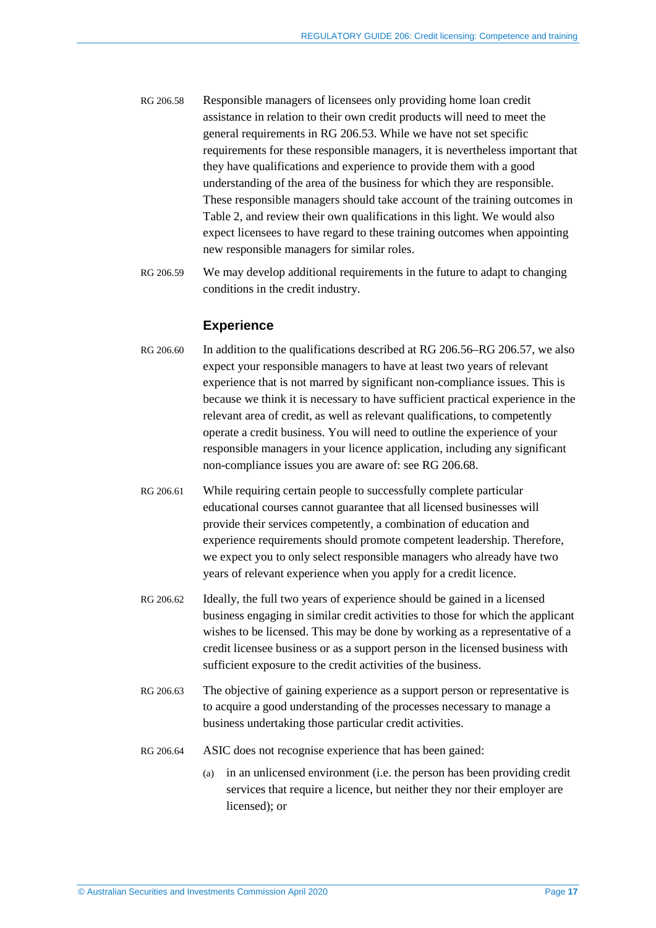- RG 206.58 Responsible managers of licensees only providing home loan credit assistance in relation to their own credit products will need to meet the general requirements in RG [206.53.](#page-15-1) While we have not set specific requirements for these responsible managers, it is nevertheless important that they have qualifications and experience to provide them with a good understanding of the area of the business for which they are responsible. These responsible managers should take account of the training outcomes in [Table 2,](#page-23-0) and review their own qualifications in this light. We would also expect licensees to have regard to these training outcomes when appointing new responsible managers for similar roles.
- RG 206.59 We may develop additional requirements in the future to adapt to changing conditions in the credit industry.

#### **Experience**

- RG 206.60 In addition to the qualifications described at RG [206.56–](#page-15-2)RG [206.57,](#page-15-3) we also expect your responsible managers to have at least two years of relevant experience that is not marred by significant non-compliance issues. This is because we think it is necessary to have sufficient practical experience in the relevant area of credit, as well as relevant qualifications, to competently operate a credit business. You will need to outline the experience of your responsible managers in your licence application, including any significant non-compliance issues you are aware of: see RG [206.68.](#page-17-0)
- RG 206.61 While requiring certain people to successfully complete particular educational courses cannot guarantee that all licensed businesses will provide their services competently, a combination of education and experience requirements should promote competent leadership. Therefore, we expect you to only select responsible managers who already have two years of relevant experience when you apply for a credit licence.
- RG 206.62 Ideally, the full two years of experience should be gained in a licensed business engaging in similar credit activities to those for which the applicant wishes to be licensed. This may be done by working as a representative of a credit licensee business or as a support person in the licensed business with sufficient exposure to the credit activities of the business.
- RG 206.63 The objective of gaining experience as a support person or representative is to acquire a good understanding of the processes necessary to manage a business undertaking those particular credit activities.
- RG 206.64 ASIC does not recognise experience that has been gained:
	- (a) in an unlicensed environment (i.e. the person has been providing credit services that require a licence, but neither they nor their employer are licensed); or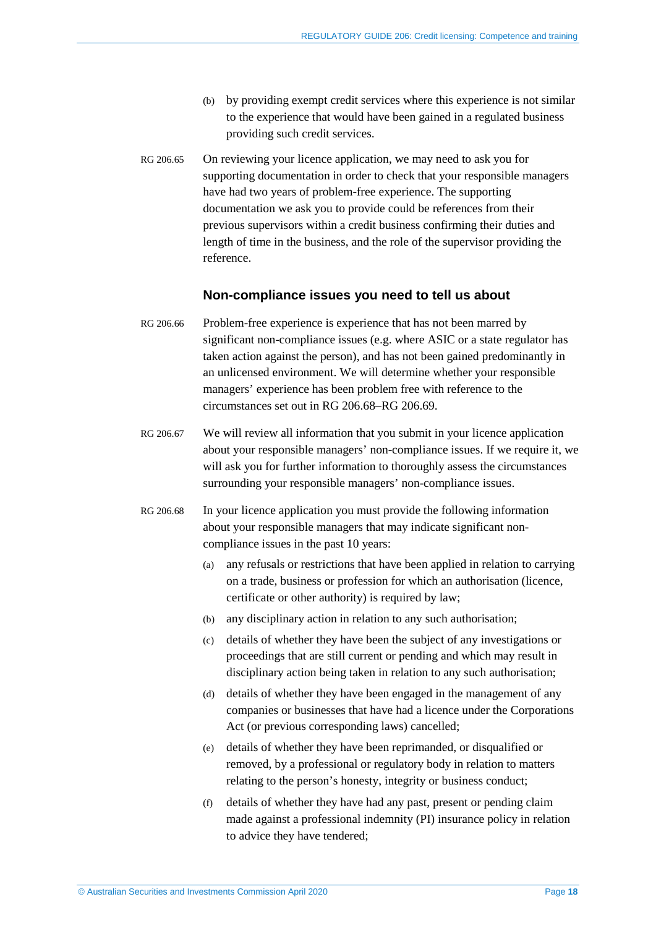- (b) by providing exempt credit services where this experience is not similar to the experience that would have been gained in a regulated business providing such credit services.
- RG 206.65 On reviewing your licence application, we may need to ask you for supporting documentation in order to check that your responsible managers have had two years of problem-free experience. The supporting documentation we ask you to provide could be references from their previous supervisors within a credit business confirming their duties and length of time in the business, and the role of the supervisor providing the reference.

#### **Non-compliance issues you need to tell us about**

- RG 206.66 Problem-free experience is experience that has not been marred by significant non-compliance issues (e.g. where ASIC or a state regulator has taken action against the person), and has not been gained predominantly in an unlicensed environment. We will determine whether your responsible managers' experience has been problem free with reference to the circumstances set out in RG [206.68–](#page-17-0)RG [206.69.](#page-18-1)
- RG 206.67 We will review all information that you submit in your licence application about your responsible managers' non-compliance issues. If we require it, we will ask you for further information to thoroughly assess the circumstances surrounding your responsible managers' non-compliance issues.
- <span id="page-17-0"></span>RG 206.68 In your licence application you must provide the following information about your responsible managers that may indicate significant noncompliance issues in the past 10 years:
	- (a) any refusals or restrictions that have been applied in relation to carrying on a trade, business or profession for which an authorisation (licence, certificate or other authority) is required by law;
	- (b) any disciplinary action in relation to any such authorisation;
	- (c) details of whether they have been the subject of any investigations or proceedings that are still current or pending and which may result in disciplinary action being taken in relation to any such authorisation;
	- (d) details of whether they have been engaged in the management of any companies or businesses that have had a licence under the Corporations Act (or previous corresponding laws) cancelled;
	- (e) details of whether they have been reprimanded, or disqualified or removed, by a professional or regulatory body in relation to matters relating to the person's honesty, integrity or business conduct;
	- (f) details of whether they have had any past, present or pending claim made against a professional indemnity (PI) insurance policy in relation to advice they have tendered;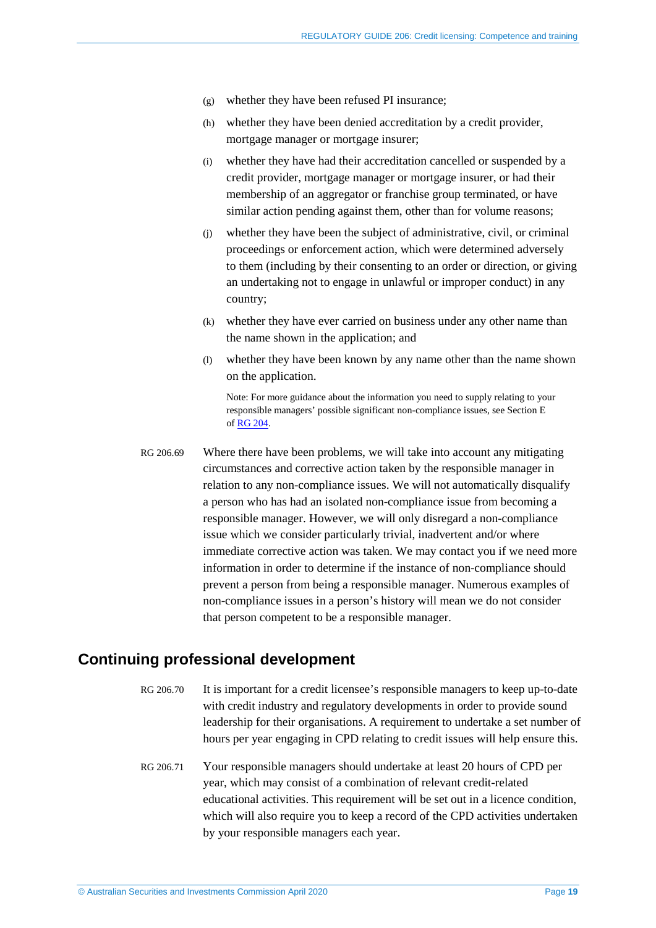- (g) whether they have been refused PI insurance;
- (h) whether they have been denied accreditation by a credit provider, mortgage manager or mortgage insurer;
- (i) whether they have had their accreditation cancelled or suspended by a credit provider, mortgage manager or mortgage insurer, or had their membership of an aggregator or franchise group terminated, or have similar action pending against them, other than for volume reasons;
- (j) whether they have been the subject of administrative, civil, or criminal proceedings or enforcement action, which were determined adversely to them (including by their consenting to an order or direction, or giving an undertaking not to engage in unlawful or improper conduct) in any country;
- (k) whether they have ever carried on business under any other name than the name shown in the application; and
- (l) whether they have been known by any name other than the name shown on the application.

Note: For more guidance about the information you need to supply relating to your responsible managers' possible significant non-compliance issues, see Section E of RG [204.](https://asic.gov.au/regulatory-resources/find-a-document/regulatory-guides/rg-204-applying-for-and-varying-a-credit-licence/)

<span id="page-18-1"></span>RG 206.69 Where there have been problems, we will take into account any mitigating circumstances and corrective action taken by the responsible manager in relation to any non-compliance issues. We will not automatically disqualify a person who has had an isolated non-compliance issue from becoming a responsible manager. However, we will only disregard a non-compliance issue which we consider particularly trivial, inadvertent and/or where immediate corrective action was taken. We may contact you if we need more information in order to determine if the instance of non-compliance should prevent a person from being a responsible manager. Numerous examples of non-compliance issues in a person's history will mean we do not consider that person competent to be a responsible manager.

## <span id="page-18-0"></span>**Continuing professional development**

- RG 206.70 It is important for a credit licensee's responsible managers to keep up-to-date with credit industry and regulatory developments in order to provide sound leadership for their organisations. A requirement to undertake a set number of hours per year engaging in CPD relating to credit issues will help ensure this.
- RG 206.71 Your responsible managers should undertake at least 20 hours of CPD per year, which may consist of a combination of relevant credit-related educational activities. This requirement will be set out in a licence condition, which will also require you to keep a record of the CPD activities undertaken by your responsible managers each year.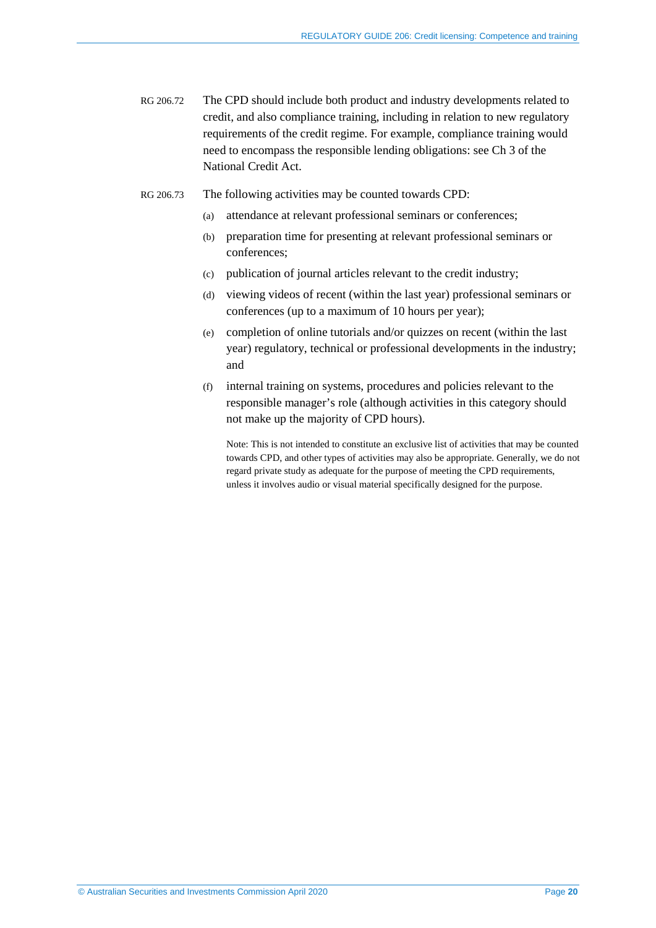- RG 206.72 The CPD should include both product and industry developments related to credit, and also compliance training, including in relation to new regulatory requirements of the credit regime. For example, compliance training would need to encompass the responsible lending obligations: see Ch 3 of the National Credit Act.
- RG 206.73 The following activities may be counted towards CPD:
	- (a) attendance at relevant professional seminars or conferences;
	- (b) preparation time for presenting at relevant professional seminars or conferences;
	- (c) publication of journal articles relevant to the credit industry;
	- (d) viewing videos of recent (within the last year) professional seminars or conferences (up to a maximum of 10 hours per year);
	- (e) completion of online tutorials and/or quizzes on recent (within the last year) regulatory, technical or professional developments in the industry; and
	- (f) internal training on systems, procedures and policies relevant to the responsible manager's role (although activities in this category should not make up the majority of CPD hours).

Note: This is not intended to constitute an exclusive list of activities that may be counted towards CPD, and other types of activities may also be appropriate. Generally, we do not regard private study as adequate for the purpose of meeting the CPD requirements, unless it involves audio or visual material specifically designed for the purpose.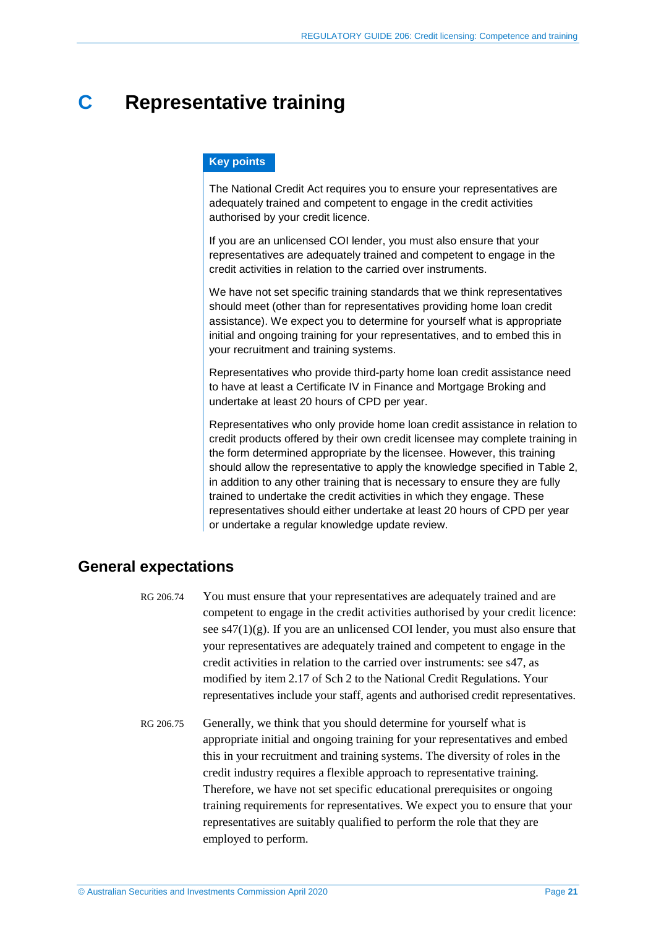## <span id="page-20-0"></span>**C Representative training**

#### **Key points**

The National Credit Act requires you to ensure your representatives are adequately trained and competent to engage in the credit activities authorised by your credit licence.

If you are an unlicensed COI lender, you must also ensure that your representatives are adequately trained and competent to engage in the credit activities in relation to the carried over instruments.

We have not set specific training standards that we think representatives should meet (other than for representatives providing home loan credit assistance). We expect you to determine for yourself what is appropriate initial and ongoing training for your representatives, and to embed this in your recruitment and training systems.

Representatives who provide third-party home loan credit assistance need to have at least a Certificate IV in Finance and Mortgage Broking and undertake at least 20 hours of CPD per year.

Representatives who only provide home loan credit assistance in relation to credit products offered by their own credit licensee may complete training in the form determined appropriate by the licensee. However, this training should allow the representative to apply the knowledge specified in [Table 2,](#page-23-0) in addition to any other training that is necessary to ensure they are fully trained to undertake the credit activities in which they engage. These representatives should either undertake at least 20 hours of CPD per year or undertake a regular knowledge update review.

## <span id="page-20-1"></span>**General expectations**

- RG 206.74 You must ensure that your representatives are adequately trained and are competent to engage in the credit activities authorised by your credit licence: see  $s47(1)(g)$ . If you are an unlicensed COI lender, you must also ensure that your representatives are adequately trained and competent to engage in the credit activities in relation to the carried over instruments: see s47, as modified by item 2.17 of Sch 2 to the National Credit Regulations. Your representatives include your staff, agents and authorised credit representatives.
- RG 206.75 Generally, we think that you should determine for yourself what is appropriate initial and ongoing training for your representatives and embed this in your recruitment and training systems. The diversity of roles in the credit industry requires a flexible approach to representative training. Therefore, we have not set specific educational prerequisites or ongoing training requirements for representatives. We expect you to ensure that your representatives are suitably qualified to perform the role that they are employed to perform.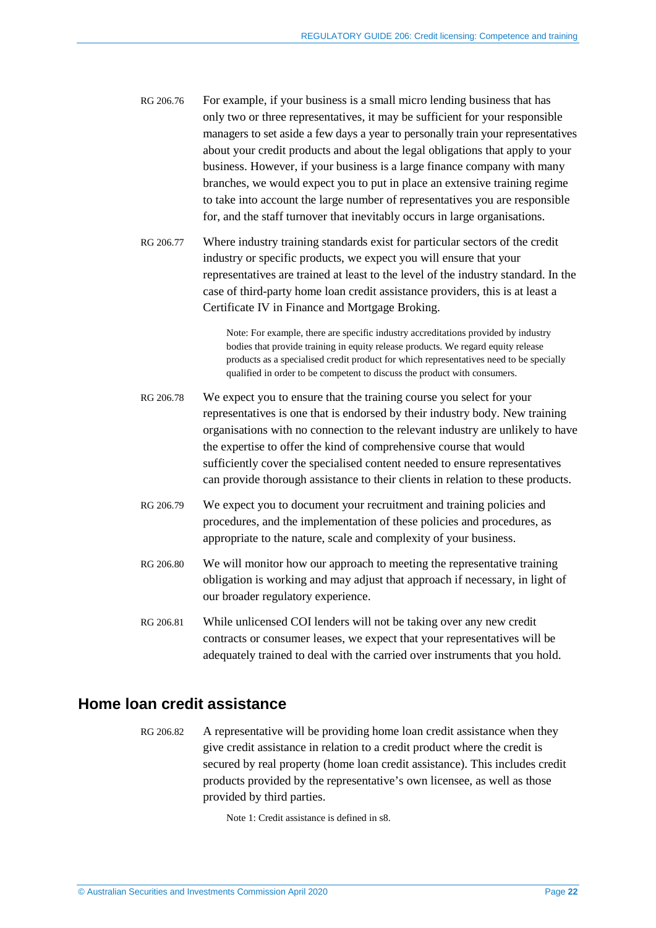- RG 206.76 For example, if your business is a small micro lending business that has only two or three representatives, it may be sufficient for your responsible managers to set aside a few days a year to personally train your representatives about your credit products and about the legal obligations that apply to your business. However, if your business is a large finance company with many branches, we would expect you to put in place an extensive training regime to take into account the large number of representatives you are responsible for, and the staff turnover that inevitably occurs in large organisations.
- RG 206.77 Where industry training standards exist for particular sectors of the credit industry or specific products, we expect you will ensure that your representatives are trained at least to the level of the industry standard. In the case of third-party home loan credit assistance providers, this is at least a Certificate IV in Finance and Mortgage Broking.

Note: For example, there are specific industry accreditations provided by industry bodies that provide training in equity release products. We regard equity release products as a specialised credit product for which representatives need to be specially qualified in order to be competent to discuss the product with consumers.

- RG 206.78 We expect you to ensure that the training course you select for your representatives is one that is endorsed by their industry body. New training organisations with no connection to the relevant industry are unlikely to have the expertise to offer the kind of comprehensive course that would sufficiently cover the specialised content needed to ensure representatives can provide thorough assistance to their clients in relation to these products.
- RG 206.79 We expect you to document your recruitment and training policies and procedures, and the implementation of these policies and procedures, as appropriate to the nature, scale and complexity of your business.
- RG 206.80 We will monitor how our approach to meeting the representative training obligation is working and may adjust that approach if necessary, in light of our broader regulatory experience.
- RG 206.81 While unlicensed COI lenders will not be taking over any new credit contracts or consumer leases, we expect that your representatives will be adequately trained to deal with the carried over instruments that you hold.

## <span id="page-21-1"></span><span id="page-21-0"></span>**Home loan credit assistance**

RG 206.82 A representative will be providing home loan credit assistance when they give credit assistance in relation to a credit product where the credit is secured by real property (home loan credit assistance). This includes credit products provided by the representative's own licensee, as well as those provided by third parties.

Note 1: Credit assistance is defined in s8.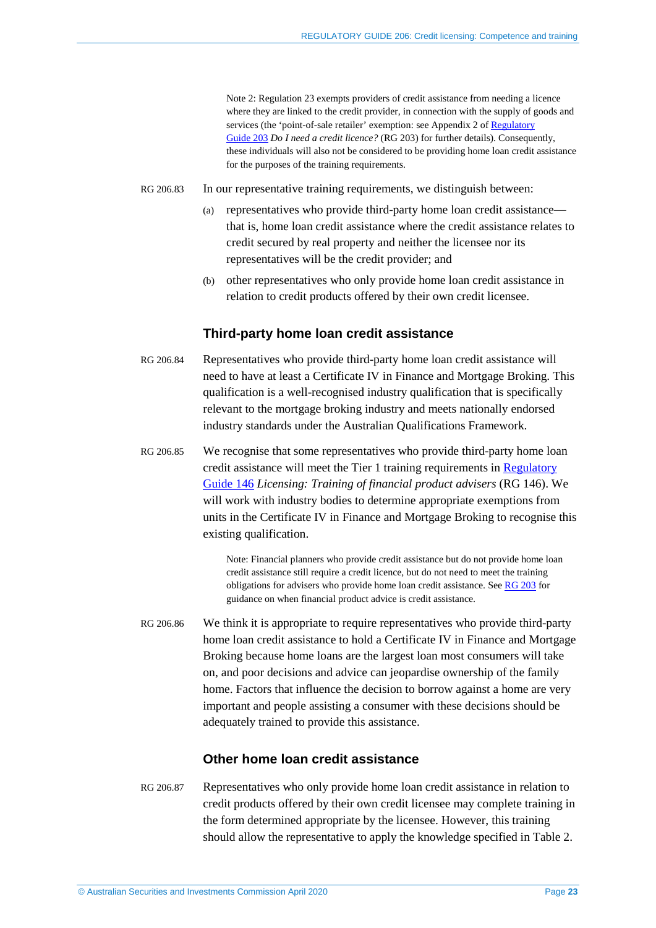Note 2: Regulation 23 exempts providers of credit assistance from needing a licence where they are linked to the credit provider, in connection with the supply of goods and services (the 'point-of-sale retailer' exemption: see Appendix 2 of Regulatory [Guide](https://asic.gov.au/regulatory-resources/find-a-document/regulatory-guides/rg-203-do-i-need-a-credit-licence/) 203 *Do I need a credit licence?* (RG 203) for further details). Consequently, these individuals will also not be considered to be providing home loan credit assistance for the purposes of the training requirements.

- RG 206.83 In our representative training requirements, we distinguish between:
	- (a) representatives who provide third-party home loan credit assistance that is, home loan credit assistance where the credit assistance relates to credit secured by real property and neither the licensee nor its representatives will be the credit provider; and
	- (b) other representatives who only provide home loan credit assistance in relation to credit products offered by their own credit licensee.

#### **Third-party home loan credit assistance**

- RG 206.84 Representatives who provide third-party home loan credit assistance will need to have at least a Certificate IV in Finance and Mortgage Broking. This qualification is a well-recognised industry qualification that is specifically relevant to the mortgage broking industry and meets nationally endorsed industry standards under the Australian Qualifications Framework.
- RG 206.85 We recognise that some representatives who provide third-party home loan credit assistance will meet the Tier 1 training requirements in [Regulatory](http://asic.gov.au/regulatory-resources/find-a-document/regulatory-guides/rg-146-licensing-training-of-financial-product-advisers/)  [Guide](http://asic.gov.au/regulatory-resources/find-a-document/regulatory-guides/rg-146-licensing-training-of-financial-product-advisers/) 146 *Licensing: Training of financial product advisers* (RG 146). We will work with industry bodies to determine appropriate exemptions from units in the Certificate IV in Finance and Mortgage Broking to recognise this existing qualification.

Note: Financial planners who provide credit assistance but do not provide home loan credit assistance still require a credit licence, but do not need to meet the training obligations for advisers who provide home loan credit assistance. See [RG 203](https://asic.gov.au/regulatory-resources/find-a-document/regulatory-guides/rg-203-do-i-need-a-credit-licence/) for guidance on when financial product advice is credit assistance.

RG 206.86 We think it is appropriate to require representatives who provide third-party home loan credit assistance to hold a Certificate IV in Finance and Mortgage Broking because home loans are the largest loan most consumers will take on, and poor decisions and advice can jeopardise ownership of the family home. Factors that influence the decision to borrow against a home are very important and people assisting a consumer with these decisions should be adequately trained to provide this assistance.

#### **Other home loan credit assistance**

RG 206.87 Representatives who only provide home loan credit assistance in relation to credit products offered by their own credit licensee may complete training in the form determined appropriate by the licensee. However, this training should allow the representative to apply the knowledge specified in [Table 2.](#page-23-0)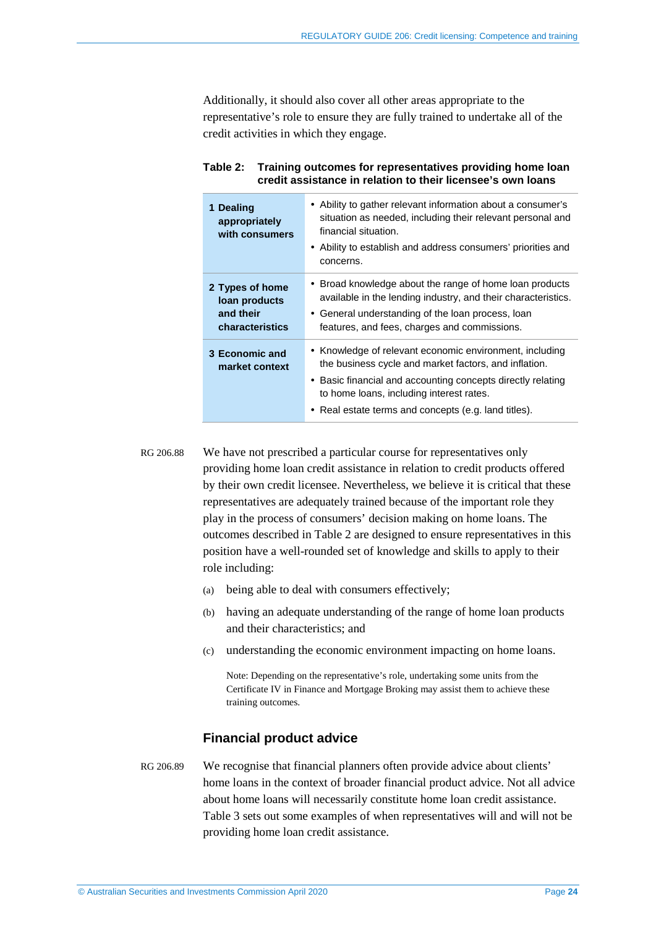Additionally, it should also cover all other areas appropriate to the representative's role to ensure they are fully trained to undertake all of the credit activities in which they engage.

| 1 Dealing<br>appropriately<br>with consumers                     | • Ability to gather relevant information about a consumer's<br>situation as needed, including their relevant personal and<br>financial situation.<br>• Ability to establish and address consumers' priorities and<br>concerns.                                                      |
|------------------------------------------------------------------|-------------------------------------------------------------------------------------------------------------------------------------------------------------------------------------------------------------------------------------------------------------------------------------|
| 2 Types of home<br>loan products<br>and their<br>characteristics | • Broad knowledge about the range of home loan products<br>available in the lending industry, and their characteristics.<br>• General understanding of the loan process, loan<br>features, and fees, charges and commissions.                                                       |
| 3 Economic and<br>market context                                 | • Knowledge of relevant economic environment, including<br>the business cycle and market factors, and inflation.<br>• Basic financial and accounting concepts directly relating<br>to home loans, including interest rates.<br>• Real estate terms and concepts (e.g. land titles). |

#### <span id="page-23-0"></span>**Table 2: Training outcomes for representatives providing home loan credit assistance in relation to their licensee's own loans**

RG 206.88 We have not prescribed a particular course for representatives only providing home loan credit assistance in relation to credit products offered by their own credit licensee. Nevertheless, we believe it is critical that these representatives are adequately trained because of the important role they play in the process of consumers' decision making on home loans. The outcomes described in [Table 2](#page-23-0) are designed to ensure representatives in this position have a well-rounded set of knowledge and skills to apply to their role including:

- (a) being able to deal with consumers effectively;
- (b) having an adequate understanding of the range of home loan products and their characteristics; and
- (c) understanding the economic environment impacting on home loans.

Note: Depending on the representative's role, undertaking some units from the Certificate IV in Finance and Mortgage Broking may assist them to achieve these training outcomes.

#### **Financial product advice**

RG 206.89 We recognise that financial planners often provide advice about clients' home loans in the context of broader financial product advice. Not all advice about home loans will necessarily constitute home loan credit assistance. [Table 3](#page-24-1) sets out some examples of when representatives will and will not be providing home loan credit assistance.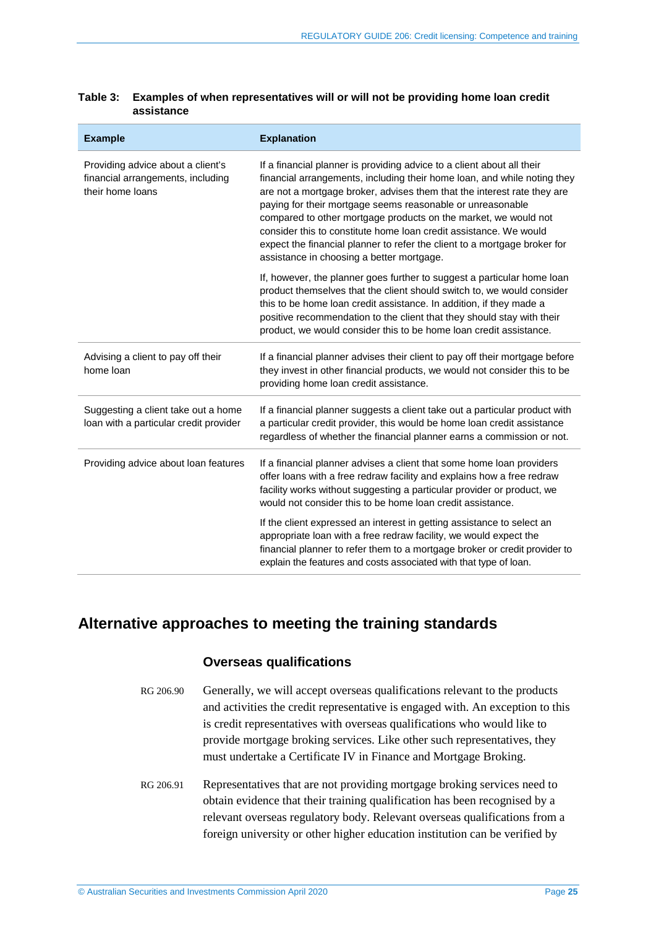| <b>Example</b>                                                                             | <b>Explanation</b>                                                                                                                                                                                                                                                                                                                                                                                                                                                                                                                                            |  |
|--------------------------------------------------------------------------------------------|---------------------------------------------------------------------------------------------------------------------------------------------------------------------------------------------------------------------------------------------------------------------------------------------------------------------------------------------------------------------------------------------------------------------------------------------------------------------------------------------------------------------------------------------------------------|--|
| Providing advice about a client's<br>financial arrangements, including<br>their home loans | If a financial planner is providing advice to a client about all their<br>financial arrangements, including their home loan, and while noting they<br>are not a mortgage broker, advises them that the interest rate they are<br>paying for their mortgage seems reasonable or unreasonable<br>compared to other mortgage products on the market, we would not<br>consider this to constitute home loan credit assistance. We would<br>expect the financial planner to refer the client to a mortgage broker for<br>assistance in choosing a better mortgage. |  |
|                                                                                            | If, however, the planner goes further to suggest a particular home loan<br>product themselves that the client should switch to, we would consider<br>this to be home loan credit assistance. In addition, if they made a<br>positive recommendation to the client that they should stay with their<br>product, we would consider this to be home loan credit assistance.                                                                                                                                                                                      |  |
| Advising a client to pay off their<br>home loan                                            | If a financial planner advises their client to pay off their mortgage before<br>they invest in other financial products, we would not consider this to be<br>providing home loan credit assistance.                                                                                                                                                                                                                                                                                                                                                           |  |
| Suggesting a client take out a home<br>loan with a particular credit provider              | If a financial planner suggests a client take out a particular product with<br>a particular credit provider, this would be home loan credit assistance<br>regardless of whether the financial planner earns a commission or not.                                                                                                                                                                                                                                                                                                                              |  |
| Providing advice about loan features                                                       | If a financial planner advises a client that some home loan providers<br>offer loans with a free redraw facility and explains how a free redraw<br>facility works without suggesting a particular provider or product, we<br>would not consider this to be home loan credit assistance.                                                                                                                                                                                                                                                                       |  |
|                                                                                            | If the client expressed an interest in getting assistance to select an<br>appropriate loan with a free redraw facility, we would expect the<br>financial planner to refer them to a mortgage broker or credit provider to<br>explain the features and costs associated with that type of loan.                                                                                                                                                                                                                                                                |  |

#### <span id="page-24-1"></span>**Table 3: Examples of when representatives will or will not be providing home loan credit assistance**

## <span id="page-24-2"></span><span id="page-24-0"></span>**Alternative approaches to meeting the training standards**

## **Overseas qualifications**

- RG 206.90 Generally, we will accept overseas qualifications relevant to the products and activities the credit representative is engaged with. An exception to this is credit representatives with overseas qualifications who would like to provide mortgage broking services. Like other such representatives, they must undertake a Certificate IV in Finance and Mortgage Broking.
- RG 206.91 Representatives that are not providing mortgage broking services need to obtain evidence that their training qualification has been recognised by a relevant overseas regulatory body. Relevant overseas qualifications from a foreign university or other higher education institution can be verified by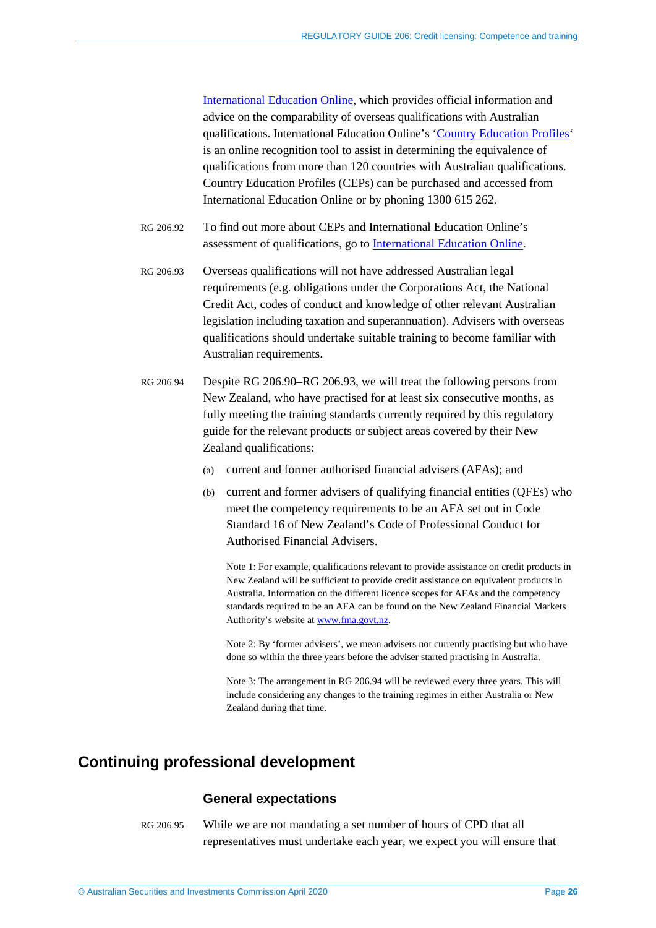[International Education Online,](https://internationaleducation.gov.au/Pages/default.aspx) which provides official information and advice on the comparability of overseas qualifications with Australian qualifications. International Education Online's ['Country Education Profiles'](https://internationaleducation.gov.au/Services-And-Resources/services-for-organisations/Pages/Services-for-organisations.aspx) is an online recognition tool to assist in determining the equivalence of qualifications from more than 120 countries with Australian qualifications. Country Education Profiles (CEPs) can be purchased and accessed from International Education Online or by phoning 1300 615 262.

- RG 206.92 To find out more about CEPs and International Education Online's assessment of qualifications, go to [International Education Online.](https://internationaleducation.gov.au/Pages/default.aspx)
- <span id="page-25-1"></span>RG 206.93 Overseas qualifications will not have addressed Australian legal requirements (e.g. obligations under the Corporations Act, the National Credit Act, codes of conduct and knowledge of other relevant Australian legislation including taxation and superannuation). Advisers with overseas qualifications should undertake suitable training to become familiar with Australian requirements.
- <span id="page-25-2"></span>RG 206.94 Despite RG [206.90–](#page-24-2)RG [206.93,](#page-25-1) we will treat the following persons from New Zealand, who have practised for at least six consecutive months, as fully meeting the training standards currently required by this regulatory guide for the relevant products or subject areas covered by their New Zealand qualifications:
	- (a) current and former authorised financial advisers (AFAs); and
	- (b) current and former advisers of qualifying financial entities (QFEs) who meet the competency requirements to be an AFA set out in Code Standard 16 of New Zealand's Code of Professional Conduct for Authorised Financial Advisers.

Note 1: For example, qualifications relevant to provide assistance on credit products in New Zealand will be sufficient to provide credit assistance on equivalent products in Australia. Information on the different licence scopes for AFAs and the competency standards required to be an AFA can be found on the New Zealand Financial Markets Authority's website at [www.fma.govt.nz.](http://www.fma.govt.nz/)

Note 2: By 'former advisers', we mean advisers not currently practising but who have done so within the three years before the adviser started practising in Australia.

Note 3: The arrangement in RG [206.94](#page-25-2) will be reviewed every three years. This will include considering any changes to the training regimes in either Australia or New Zealand during that time.

## <span id="page-25-0"></span>**Continuing professional development**

#### **General expectations**

RG 206.95 While we are not mandating a set number of hours of CPD that all representatives must undertake each year, we expect you will ensure that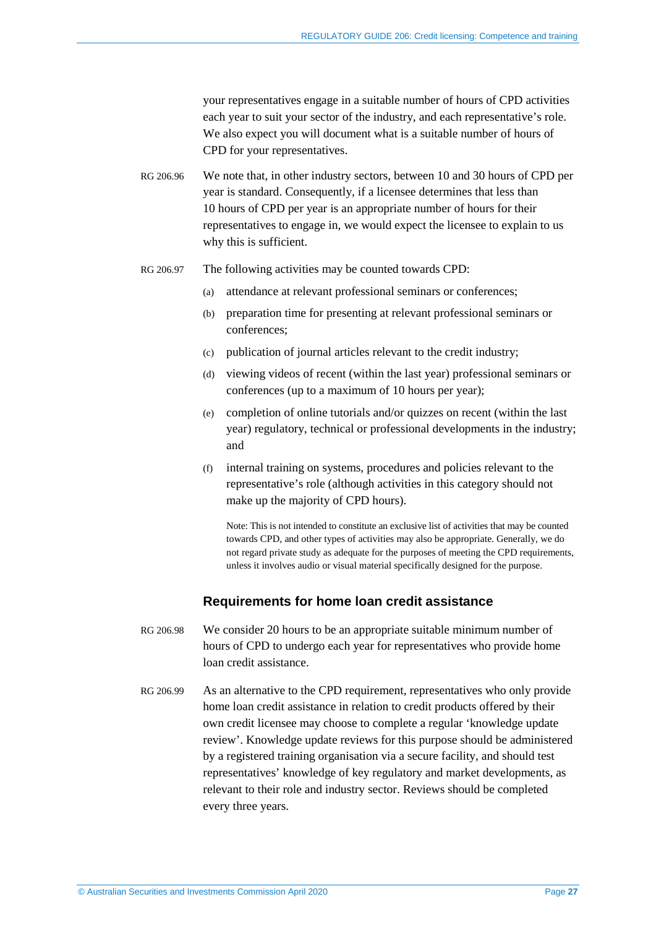your representatives engage in a suitable number of hours of CPD activities each year to suit your sector of the industry, and each representative's role. We also expect you will document what is a suitable number of hours of CPD for your representatives.

RG 206.96 We note that, in other industry sectors, between 10 and 30 hours of CPD per year is standard. Consequently, if a licensee determines that less than 10 hours of CPD per year is an appropriate number of hours for their representatives to engage in, we would expect the licensee to explain to us why this is sufficient.

- RG 206.97 The following activities may be counted towards CPD:
	- (a) attendance at relevant professional seminars or conferences;
	- (b) preparation time for presenting at relevant professional seminars or conferences;
	- (c) publication of journal articles relevant to the credit industry;
	- (d) viewing videos of recent (within the last year) professional seminars or conferences (up to a maximum of 10 hours per year);
	- (e) completion of online tutorials and/or quizzes on recent (within the last year) regulatory, technical or professional developments in the industry; and
	- (f) internal training on systems, procedures and policies relevant to the representative's role (although activities in this category should not make up the majority of CPD hours).

Note: This is not intended to constitute an exclusive list of activities that may be counted towards CPD, and other types of activities may also be appropriate. Generally, we do not regard private study as adequate for the purposes of meeting the CPD requirements, unless it involves audio or visual material specifically designed for the purpose.

### **Requirements for home loan credit assistance**

- RG 206.98 We consider 20 hours to be an appropriate suitable minimum number of hours of CPD to undergo each year for representatives who provide home loan credit assistance.
- RG 206.99 As an alternative to the CPD requirement, representatives who only provide home loan credit assistance in relation to credit products offered by their own credit licensee may choose to complete a regular 'knowledge update review'. Knowledge update reviews for this purpose should be administered by a registered training organisation via a secure facility, and should test representatives' knowledge of key regulatory and market developments, as relevant to their role and industry sector. Reviews should be completed every three years.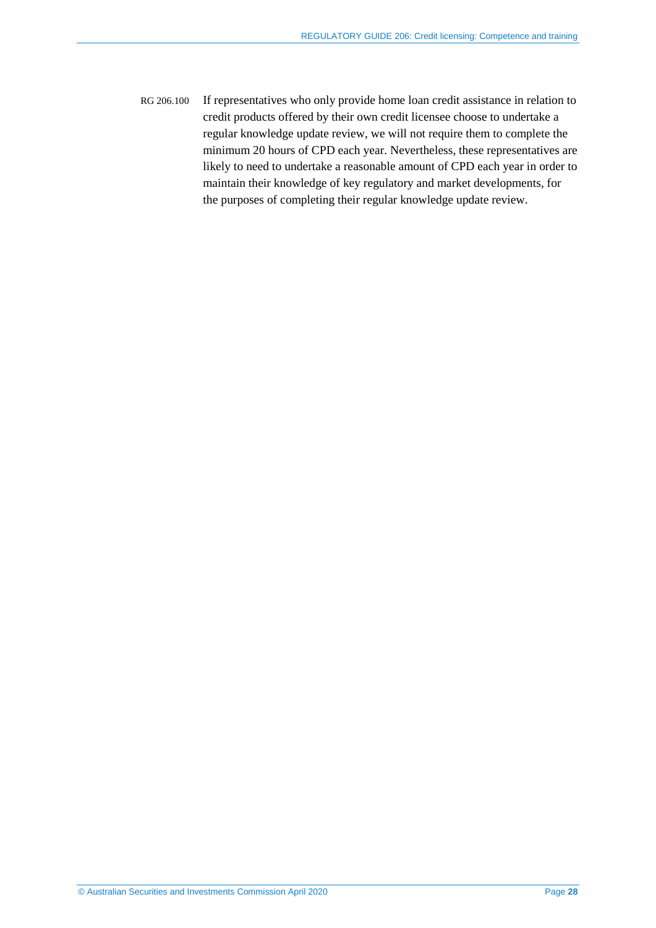RG 206.100 If representatives who only provide home loan credit assistance in relation to credit products offered by their own credit licensee choose to undertake a regular knowledge update review, we will not require them to complete the minimum 20 hours of CPD each year. Nevertheless, these representatives are likely to need to undertake a reasonable amount of CPD each year in order to maintain their knowledge of key regulatory and market developments, for the purposes of completing their regular knowledge update review.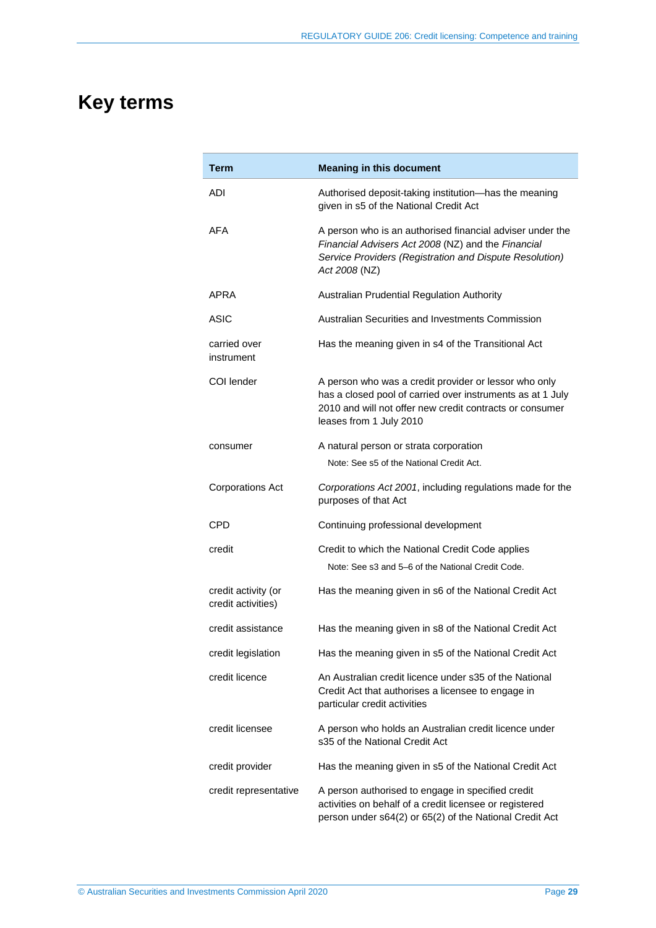# <span id="page-28-0"></span>**Key terms**

| Term                                      | <b>Meaning in this document</b>                                                                                                                                                                            |
|-------------------------------------------|------------------------------------------------------------------------------------------------------------------------------------------------------------------------------------------------------------|
| ADI                                       | Authorised deposit-taking institution-has the meaning<br>given in s5 of the National Credit Act                                                                                                            |
| AFA                                       | A person who is an authorised financial adviser under the<br>Financial Advisers Act 2008 (NZ) and the Financial<br>Service Providers (Registration and Dispute Resolution)<br>Act 2008 (NZ)                |
| APRA                                      | Australian Prudential Regulation Authority                                                                                                                                                                 |
| ASIC                                      | Australian Securities and Investments Commission                                                                                                                                                           |
| carried over<br>instrument                | Has the meaning given in s4 of the Transitional Act                                                                                                                                                        |
| COI lender                                | A person who was a credit provider or lessor who only<br>has a closed pool of carried over instruments as at 1 July<br>2010 and will not offer new credit contracts or consumer<br>leases from 1 July 2010 |
| consumer                                  | A natural person or strata corporation                                                                                                                                                                     |
|                                           | Note: See s5 of the National Credit Act.                                                                                                                                                                   |
| <b>Corporations Act</b>                   | Corporations Act 2001, including regulations made for the<br>purposes of that Act                                                                                                                          |
| CPD                                       | Continuing professional development                                                                                                                                                                        |
| credit                                    | Credit to which the National Credit Code applies                                                                                                                                                           |
|                                           | Note: See s3 and 5–6 of the National Credit Code.                                                                                                                                                          |
| credit activity (or<br>credit activities) | Has the meaning given in s6 of the National Credit Act                                                                                                                                                     |
| credit assistance                         | Has the meaning given in s8 of the National Credit Act                                                                                                                                                     |
| credit legislation                        | Has the meaning given in s5 of the National Credit Act                                                                                                                                                     |
| credit licence                            | An Australian credit licence under s35 of the National<br>Credit Act that authorises a licensee to engage in<br>particular credit activities                                                               |
| credit licensee                           | A person who holds an Australian credit licence under<br>s35 of the National Credit Act                                                                                                                    |
| credit provider                           | Has the meaning given in s5 of the National Credit Act                                                                                                                                                     |
| credit representative                     | A person authorised to engage in specified credit<br>activities on behalf of a credit licensee or registered<br>person under s64(2) or 65(2) of the National Credit Act                                    |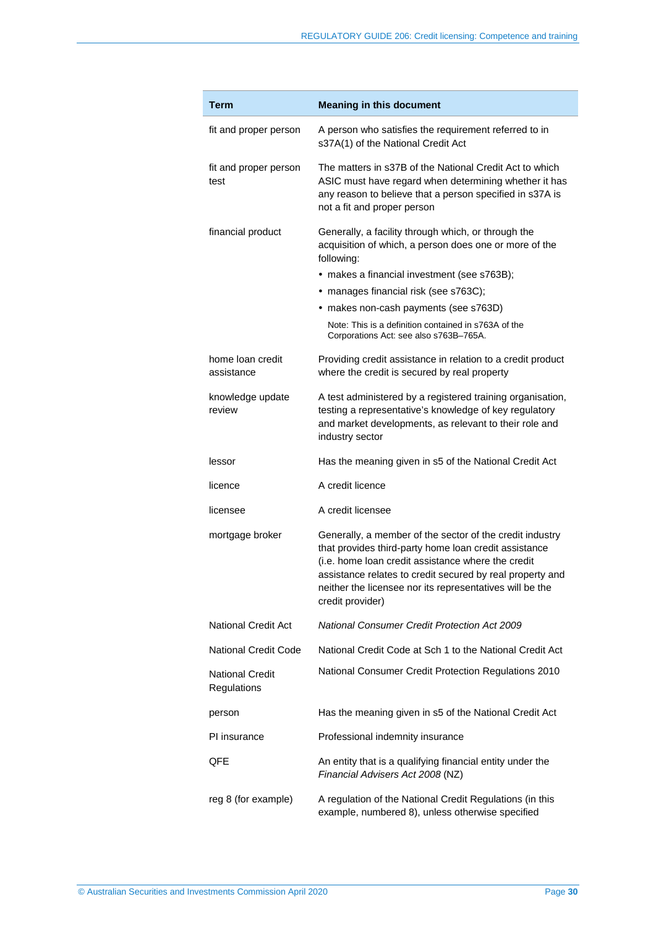| Term                                  | <b>Meaning in this document</b>                                                                                                                                                                                                                                                                                                                                |
|---------------------------------------|----------------------------------------------------------------------------------------------------------------------------------------------------------------------------------------------------------------------------------------------------------------------------------------------------------------------------------------------------------------|
| fit and proper person                 | A person who satisfies the requirement referred to in<br>s37A(1) of the National Credit Act                                                                                                                                                                                                                                                                    |
| fit and proper person<br>test         | The matters in s37B of the National Credit Act to which<br>ASIC must have regard when determining whether it has<br>any reason to believe that a person specified in s37A is<br>not a fit and proper person                                                                                                                                                    |
| financial product                     | Generally, a facility through which, or through the<br>acquisition of which, a person does one or more of the<br>following:<br>• makes a financial investment (see s763B);<br>· manages financial risk (see s763C);<br>• makes non-cash payments (see s763D)<br>Note: This is a definition contained in s763A of the<br>Corporations Act: see also s763B-765A. |
| home loan credit<br>assistance        | Providing credit assistance in relation to a credit product<br>where the credit is secured by real property                                                                                                                                                                                                                                                    |
| knowledge update<br>review            | A test administered by a registered training organisation,<br>testing a representative's knowledge of key regulatory<br>and market developments, as relevant to their role and<br>industry sector                                                                                                                                                              |
| lessor                                | Has the meaning given in s5 of the National Credit Act                                                                                                                                                                                                                                                                                                         |
| licence                               | A credit licence                                                                                                                                                                                                                                                                                                                                               |
| licensee                              | A credit licensee                                                                                                                                                                                                                                                                                                                                              |
| mortgage broker                       | Generally, a member of the sector of the credit industry<br>that provides third-party home loan credit assistance<br>(i.e. home loan credit assistance where the credit<br>assistance relates to credit secured by real property and<br>neither the licensee nor its representatives will be the<br>credit provider)                                           |
| National Credit Act                   | <b>National Consumer Credit Protection Act 2009</b>                                                                                                                                                                                                                                                                                                            |
| <b>National Credit Code</b>           | National Credit Code at Sch 1 to the National Credit Act                                                                                                                                                                                                                                                                                                       |
| <b>National Credit</b><br>Regulations | National Consumer Credit Protection Regulations 2010                                                                                                                                                                                                                                                                                                           |
| person                                | Has the meaning given in s5 of the National Credit Act                                                                                                                                                                                                                                                                                                         |
| PI insurance                          | Professional indemnity insurance                                                                                                                                                                                                                                                                                                                               |
| QFE                                   | An entity that is a qualifying financial entity under the<br>Financial Advisers Act 2008 (NZ)                                                                                                                                                                                                                                                                  |
| reg 8 (for example)                   | A regulation of the National Credit Regulations (in this<br>example, numbered 8), unless otherwise specified                                                                                                                                                                                                                                                   |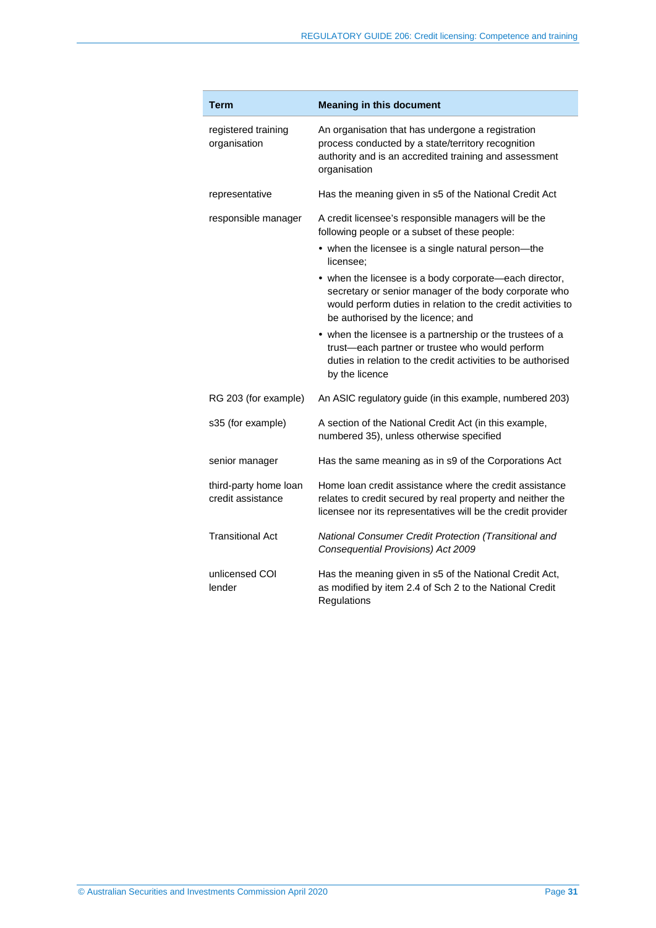| Term                                       | <b>Meaning in this document</b>                                                                                                                                                                                                   |
|--------------------------------------------|-----------------------------------------------------------------------------------------------------------------------------------------------------------------------------------------------------------------------------------|
| registered training<br>organisation        | An organisation that has undergone a registration<br>process conducted by a state/territory recognition<br>authority and is an accredited training and assessment<br>organisation                                                 |
| representative                             | Has the meaning given in s5 of the National Credit Act                                                                                                                                                                            |
| responsible manager                        | A credit licensee's responsible managers will be the<br>following people or a subset of these people:<br>• when the licensee is a single natural person—the                                                                       |
|                                            | licensee:<br>• when the licensee is a body corporate—each director,<br>secretary or senior manager of the body corporate who<br>would perform duties in relation to the credit activities to<br>be authorised by the licence; and |
|                                            | • when the licensee is a partnership or the trustees of a<br>trust-each partner or trustee who would perform<br>duties in relation to the credit activities to be authorised<br>by the licence                                    |
| RG 203 (for example)                       | An ASIC regulatory guide (in this example, numbered 203)                                                                                                                                                                          |
| s35 (for example)                          | A section of the National Credit Act (in this example,<br>numbered 35), unless otherwise specified                                                                                                                                |
| senior manager                             | Has the same meaning as in s9 of the Corporations Act                                                                                                                                                                             |
| third-party home loan<br>credit assistance | Home loan credit assistance where the credit assistance<br>relates to credit secured by real property and neither the<br>licensee nor its representatives will be the credit provider                                             |
| <b>Transitional Act</b>                    | National Consumer Credit Protection (Transitional and<br>Consequential Provisions) Act 2009                                                                                                                                       |
| unlicensed COI<br>lender                   | Has the meaning given in s5 of the National Credit Act,<br>as modified by item 2.4 of Sch 2 to the National Credit<br>Regulations                                                                                                 |